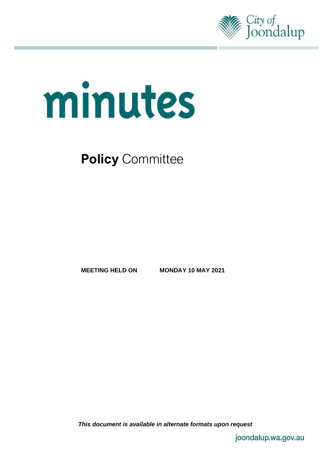

# minutes

**Policy Committee** 

**MEETING HELD ON MONDAY 10 MAY 2021**

*This document is available in alternate formats upon request*

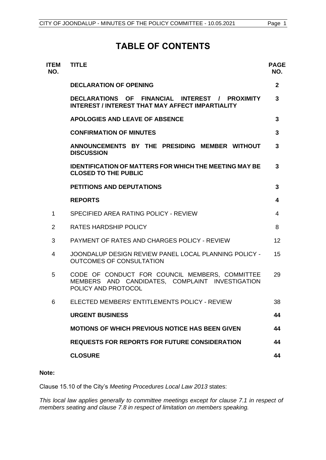# **TABLE OF CONTENTS**

| <b>ITEM</b><br>NO. | <b>TITLE</b>                                                                                                             | <b>PAGE</b><br>NO. |
|--------------------|--------------------------------------------------------------------------------------------------------------------------|--------------------|
|                    | <b>DECLARATION OF OPENING</b>                                                                                            | $\mathbf{2}$       |
|                    | DECLARATIONS OF FINANCIAL INTEREST / PROXIMITY<br><b>INTEREST / INTEREST THAT MAY AFFECT IMPARTIALITY</b>                | 3                  |
|                    | <b>APOLOGIES AND LEAVE OF ABSENCE</b>                                                                                    | 3                  |
|                    | <b>CONFIRMATION OF MINUTES</b>                                                                                           | 3                  |
|                    | ANNOUNCEMENTS BY THE PRESIDING MEMBER WITHOUT<br><b>DISCUSSION</b>                                                       | 3                  |
|                    | <b>IDENTIFICATION OF MATTERS FOR WHICH THE MEETING MAY BE</b><br><b>CLOSED TO THE PUBLIC</b>                             | 3                  |
|                    | <b>PETITIONS AND DEPUTATIONS</b>                                                                                         | 3                  |
|                    | <b>REPORTS</b>                                                                                                           | 4                  |
| 1                  | SPECIFIED AREA RATING POLICY - REVIEW                                                                                    | 4                  |
| $\overline{2}$     | <b>RATES HARDSHIP POLICY</b>                                                                                             | 8                  |
| 3                  | PAYMENT OF RATES AND CHARGES POLICY - REVIEW                                                                             | 12                 |
| 4                  | JOONDALUP DESIGN REVIEW PANEL LOCAL PLANNING POLICY -<br>OUTCOMES OF CONSULTATION                                        | 15                 |
| 5                  | CODE OF CONDUCT FOR COUNCIL MEMBERS, COMMITTEE<br>MEMBERS AND CANDIDATES, COMPLAINT INVESTIGATION<br>POLICY AND PROTOCOL | 29                 |
| 6                  | ELECTED MEMBERS' ENTITLEMENTS POLICY - REVIEW                                                                            | 38                 |
|                    | <b>URGENT BUSINESS</b>                                                                                                   | 44                 |
|                    | <b>MOTIONS OF WHICH PREVIOUS NOTICE HAS BEEN GIVEN</b>                                                                   | 44                 |
|                    | <b>REQUESTS FOR REPORTS FOR FUTURE CONSIDERATION</b>                                                                     | 44                 |
|                    | <b>CLOSURE</b>                                                                                                           | 44                 |
|                    |                                                                                                                          |                    |

#### **Note:**

Clause 15.10 of the City's *Meeting Procedures Local Law 2013* states:

*This local law applies generally to committee meetings except for clause 7.1 in respect of members seating and clause 7.8 in respect of limitation on members speaking.*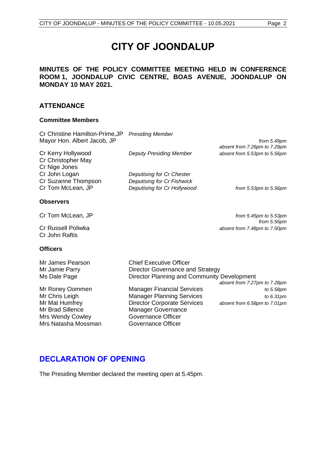# **CITY OF JOONDALUP**

### **MINUTES OF THE POLICY COMMITTEE MEETING HELD IN CONFERENCE ROOM 1, JOONDALUP CIVIC CENTRE, BOAS AVENUE, JOONDALUP ON MONDAY 10 MAY 2021.**

#### **ATTENDANCE**

#### **Committee Members**

| Cr Christine Hamilton-Prime, JP<br>Mayor Hon. Albert Jacob, JP             | <b>Presiding Member</b>                                                                                           | from 5.49pm                                                  |
|----------------------------------------------------------------------------|-------------------------------------------------------------------------------------------------------------------|--------------------------------------------------------------|
| Cr Kerry Hollywood<br>Cr Christopher May                                   | <b>Deputy Presiding Member</b>                                                                                    | absent from 7.26pm to 7.29pm<br>absent from 5.53pm to 5.56pm |
| Cr Nige Jones<br>Cr John Logan<br>Cr Suzanne Thompson<br>Cr Tom McLean, JP | Deputising for Cr Chester<br>Deputising for Cr Fishwick<br>Deputising for Cr Hollywood                            | from $5.53$ pm to $5.56$ pm                                  |
| <b>Observers</b>                                                           |                                                                                                                   |                                                              |
| Cr Tom McLean, JP                                                          |                                                                                                                   | from $5.45$ pm to $5.53$ pm<br>from 5.56pm                   |
| Cr Russell Poliwka<br>Cr John Raftis                                       |                                                                                                                   | absent from 7.48pm to 7.50pm                                 |
| <b>Officers</b>                                                            |                                                                                                                   |                                                              |
| Mr James Pearson<br>Mr Jamie Parry<br>Ms Dale Page                         | <b>Chief Executive Officer</b><br>Director Governance and Strategy<br>Director Planning and Community Development | absent from 7.27pm to 7.28pm                                 |
| Mr Roney Oommen<br>$M = 21$                                                | <b>Manager Financial Services</b><br>Marca - Alexandra Marca 1                                                    | to 5.58pm                                                    |

Mr Brad Sillence<br>
Manager Governance<br>
Mrs Wendy Cowley<br>
Governance Officer Mrs Wendy Cowley **Governance Officer**<br>Mrs Natasha Mossman **Governance Officer** Mrs Natasha Mossman

Mr Chris Leigh **Manager Planning Services** *to 6.31pm* Mr Mat Humfrey Director Corporate Services *absent from 6.58pm to 7.01pm*

# <span id="page-2-0"></span>**DECLARATION OF OPENING**

The Presiding Member declared the meeting open at 5.45pm.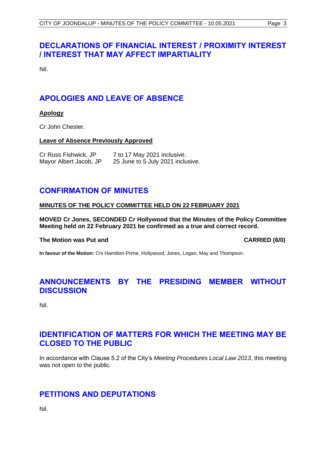# <span id="page-3-0"></span>**DECLARATIONS OF FINANCIAL INTEREST / PROXIMITY INTEREST / INTEREST THAT MAY AFFECT IMPARTIALITY**

Nil.

# <span id="page-3-1"></span>**APOLOGIES AND LEAVE OF ABSENCE**

#### **Apology**

Cr John Chester.

#### **Leave of Absence Previously Approved**

| Cr Russ Fishwick, JP   | 7 to 17 May 2021 inclusive.       |
|------------------------|-----------------------------------|
| Mayor Albert Jacob, JP | 25 June to 5 July 2021 inclusive. |

# <span id="page-3-2"></span>**CONFIRMATION OF MINUTES**

#### **MINUTES OF THE POLICY COMMITTEE HELD ON 22 FEBRUARY 2021**

**MOVED Cr Jones, SECONDED Cr Hollywood that the Minutes of the Policy Committee Meeting held on 22 February 2021 be confirmed as a true and correct record.**

#### **The Motion was Put and CARRIED (6/0)**

**In favour of the Motion:** Crs Hamilton-Prime, Hollywood, Jones, Logan, May and Thompson.

# <span id="page-3-3"></span>**ANNOUNCEMENTS BY THE PRESIDING MEMBER WITHOUT DISCUSSION**

Nil.

# <span id="page-3-4"></span>**IDENTIFICATION OF MATTERS FOR WHICH THE MEETING MAY BE CLOSED TO THE PUBLIC**

In accordance with Clause 5.2 of the City's *Meeting Procedures Local Law 2013*, this meeting was not open to the public.

# <span id="page-3-5"></span>**PETITIONS AND DEPUTATIONS**

Nil.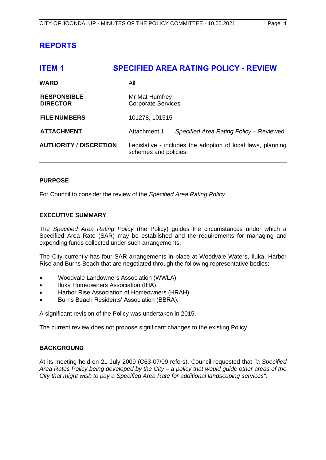# <span id="page-4-0"></span>**REPORTS**

<span id="page-4-1"></span>

| <b>ITEM1</b>                          | <b>SPECIFIED AREA RATING POLICY - REVIEW</b>                                         |  |  |  |
|---------------------------------------|--------------------------------------------------------------------------------------|--|--|--|
| <b>WARD</b>                           | All                                                                                  |  |  |  |
| <b>RESPONSIBLE</b><br><b>DIRECTOR</b> | Mr Mat Humfrey<br><b>Corporate Services</b>                                          |  |  |  |
| <b>FILE NUMBERS</b>                   | 101278, 101515                                                                       |  |  |  |
| <b>ATTACHMENT</b>                     | Attachment 1<br>Specified Area Rating Policy - Reviewed                              |  |  |  |
| <b>AUTHORITY / DISCRETION</b>         | Legislative - includes the adoption of local laws, planning<br>schemes and policies. |  |  |  |

#### **PURPOSE**

For Council to consider the review of the *Specified Area Rating Policy*.

#### **EXECUTIVE SUMMARY**

The *Specified Area Rating Policy* (the Policy) guides the circumstances under which a Specified Area Rate (SAR) may be established and the requirements for managing and expending funds collected under such arrangements.

The City currently has four SAR arrangements in place at Woodvale Waters, Iluka, Harbor Rise and Burns Beach that are negotiated through the following representative bodies:

- Woodvale Landowners Association (WWLA).
- Iluka Homeowners Association (IHA).
- Harbor Rise Association of Homeowners (HRAH).
- Burns Beach Residents' Association (BBRA).

A significant revision of the Policy was undertaken in 2015.

The current review does not propose significant changes to the existing Policy.

#### **BACKGROUND**

At its meeting held on 21 July 2009 (C63-07/09 refers), Council requested that *"a Specified Area Rates Policy being developed by the City – a policy that would guide other areas of the City that might wish to pay a Specified Area Rate for additional landscaping services"*.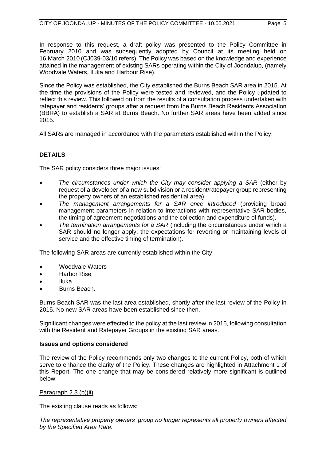In response to this request, a draft policy was presented to the Policy Committee in February 2010 and was subsequently adopted by Council at its meeting held on 16 March 2010 (CJ039-03/10 refers). The Policy was based on the knowledge and experience attained in the management of existing SARs operating within the City of Joondalup, (namely Woodvale Waters, Iluka and Harbour Rise).

Since the Policy was established, the City established the Burns Beach SAR area in 2015. At the time the provisions of the Policy were tested and reviewed, and the Policy updated to reflect this review. This followed on from the results of a consultation process undertaken with ratepayer and residents' groups after a request from the Burns Beach Residents Association (BBRA) to establish a SAR at Burns Beach. No further SAR areas have been added since 2015.

All SARs are managed in accordance with the parameters established within the Policy.

## **DETAILS**

The SAR policy considers three major issues:

- *The circumstances under which the City may consider applying a SAR* (either by request of a developer of a new subdivision or a resident/ratepayer group representing the property owners of an established residential area).
- *The management arrangements for a SAR once introduced* (providing broad management parameters in relation to interactions with representative SAR bodies, the timing of agreement negotiations and the collection and expenditure of funds).
- *The termination arrangements for a SAR* (including the circumstances under which a SAR should no longer apply, the expectations for reverting or maintaining levels of service and the effective timing of termination).

The following SAR areas are currently established within the City:

- Woodvale Waters
- Harbor Rise
- Iluka
- Burns Beach.

Burns Beach SAR was the last area established, shortly after the last review of the Policy in 2015. No new SAR areas have been established since then.

Significant changes were effected to the policy at the last review in 2015, following consultation with the Resident and Ratepayer Groups in the existing SAR areas.

#### **Issues and options considered**

The review of the Policy recommends only two changes to the current Policy, both of which serve to enhance the clarity of the Policy. These changes are highlighted in Attachment 1 of this Report. The one change that may be considered relatively more significant is outlined below:

#### Paragraph 2.3 (b)(ii)

The existing clause reads as follows:

*The representative property owners' group no longer represents all property owners affected by the Specified Area Rate.*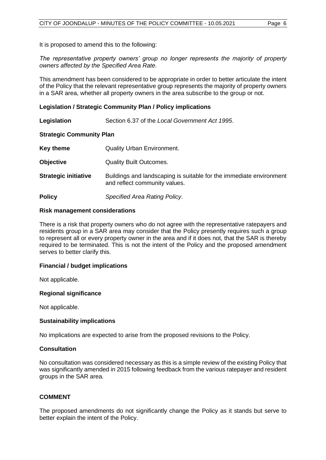It is proposed to amend this to the following:

*The representative property owners' group no longer represents the majority of property owners affected by the Specified Area Rate.* 

This amendment has been considered to be appropriate in order to better articulate the intent of the Policy that the relevant representative group represents the majority of property owners in a SAR area, whether all property owners in the area subscribe to the group or not.

#### **Legislation / Strategic Community Plan / Policy implications**

**Legislation** Section 6.37 of the *Local Government Act 1995*.

#### **Strategic Community Plan**

| Key theme                   | <b>Quality Urban Environment.</b>                                                                    |
|-----------------------------|------------------------------------------------------------------------------------------------------|
| <b>Objective</b>            | <b>Quality Built Outcomes.</b>                                                                       |
| <b>Strategic initiative</b> | Buildings and landscaping is suitable for the immediate environment<br>and reflect community values. |
| <b>Policy</b>               | Specified Area Rating Policy.                                                                        |

#### **Risk management considerations**

There is a risk that property owners who do not agree with the representative ratepayers and residents group in a SAR area may consider that the Policy presently requires such a group to represent all or every property owner in the area and if it does not, that the SAR is thereby required to be terminated. This is not the intent of the Policy and the proposed amendment serves to better clarify this.

#### **Financial / budget implications**

Not applicable.

#### **Regional significance**

Not applicable.

#### **Sustainability implications**

No implications are expected to arise from the proposed revisions to the Policy.

#### **Consultation**

No consultation was considered necessary as this is a simple review of the existing Policy that was significantly amended in 2015 following feedback from the various ratepayer and resident groups in the SAR area.

#### **COMMENT**

The proposed amendments do not significantly change the Policy as it stands but serve to better explain the intent of the Policy.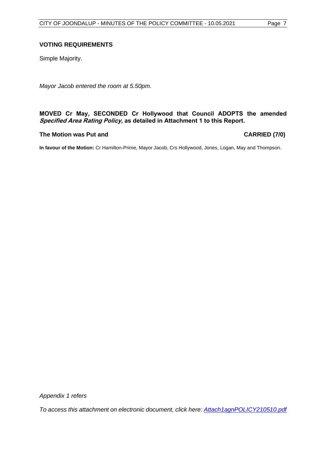#### **VOTING REQUIREMENTS**

Simple Majority.

*Mayor Jacob entered the room at 5.50pm.*

#### **MOVED Cr May, SECONDED Cr Hollywood that Council ADOPTS the amended Specified Area Rating Policy, as detailed in Attachment 1 to this Report.**

#### **The Motion was Put and CARRIED (7/0)**

**In favour of the Motion:** Cr Hamilton-Prime, Mayor Jacob, Crs Hollywood, Jones, Logan, May and Thompson.

*Appendix 1 refers*

*[To access this attachment on electronic document, click here: Attach1agnPOLICY210510.pdf](http://www.joondalup.wa.gov.au/files/committees/POLI/2021/Attach1agnPOLICY210510.pdf)*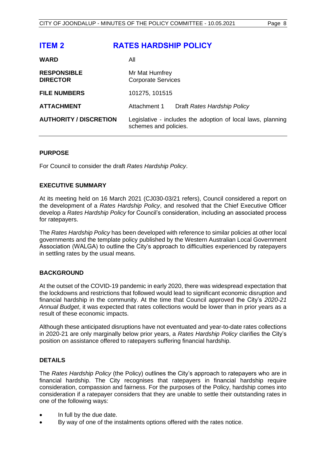<span id="page-8-0"></span>

| <b>ITEM 2</b>                         | <b>RATES HARDSHIP POLICY</b>                                                         |
|---------------------------------------|--------------------------------------------------------------------------------------|
| <b>WARD</b>                           | All                                                                                  |
| <b>RESPONSIBLE</b><br><b>DIRECTOR</b> | Mr Mat Humfrey<br><b>Corporate Services</b>                                          |
| <b>FILE NUMBERS</b>                   | 101275, 101515                                                                       |
| <b>ATTACHMENT</b>                     | Attachment 1<br>Draft Rates Hardship Policy                                          |
| <b>AUTHORITY / DISCRETION</b>         | Legislative - includes the adoption of local laws, planning<br>schemes and policies. |

#### **PURPOSE**

For Council to consider the draft *Rates Hardship Policy*.

#### **EXECUTIVE SUMMARY**

At its meeting held on 16 March 2021 (CJ030-03/21 refers), Council considered a report on the development of a *Rates Hardship Policy*, and resolved that the Chief Executive Officer develop a *Rates Hardship Policy* for Council's consideration, including an associated process for ratepayers.

The *Rates Hardship Policy* has been developed with reference to similar policies at other local governments and the template policy published by the Western Australian Local Government Association (WALGA) to outline the City's approach to difficulties experienced by ratepayers in settling rates by the usual means.

#### **BACKGROUND**

At the outset of the COVID-19 pandemic in early 2020, there was widespread expectation that the lockdowns and restrictions that followed would lead to significant economic disruption and financial hardship in the community. At the time that Council approved the City's *2020-21 Annual Budget*, it was expected that rates collections would be lower than in prior years as a result of these economic impacts.

Although these anticipated disruptions have not eventuated and year-to-date rates collections in 2020-21 are only marginally below prior years, a *Rates Hardship Policy* clarifies the City's position on assistance offered to ratepayers suffering financial hardship.

#### **DETAILS**

The *Rates Hardship Policy* (the Policy) outlines the City's approach to ratepayers who are in financial hardship. The City recognises that ratepayers in financial hardship require consideration, compassion and fairness. For the purposes of the Policy, hardship comes into consideration if a ratepayer considers that they are unable to settle their outstanding rates in one of the following ways:

- In full by the due date.
- By way of one of the instalments options offered with the rates notice.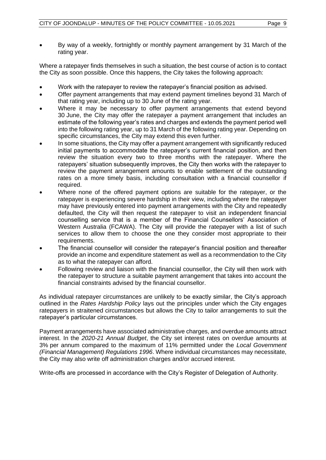• By way of a weekly, fortnightly or monthly payment arrangement by 31 March of the rating year.

Where a ratepayer finds themselves in such a situation, the best course of action is to contact the City as soon possible. Once this happens, the City takes the following approach:

- Work with the ratepayer to review the ratepayer's financial position as advised.
- Offer payment arrangements that may extend payment timelines beyond 31 March of that rating year, including up to 30 June of the rating year.
- Where it may be necessary to offer payment arrangements that extend beyond 30 June, the City may offer the ratepayer a payment arrangement that includes an estimate of the following year's rates and charges and extends the payment period well into the following rating year, up to 31 March of the following rating year. Depending on specific circumstances, the City may extend this even further.
- In some situations, the City may offer a payment arrangement with significantly reduced initial payments to accommodate the ratepayer's current financial position, and then review the situation every two to three months with the ratepayer. Where the ratepayers' situation subsequently improves, the City then works with the ratepayer to review the payment arrangement amounts to enable settlement of the outstanding rates on a more timely basis, including consultation with a financial counsellor if required.
- Where none of the offered payment options are suitable for the ratepayer, or the ratepayer is experiencing severe hardship in their view, including where the ratepayer may have previously entered into payment arrangements with the City and repeatedly defaulted, the City will then request the ratepayer to visit an independent financial counselling service that is a member of the Financial Counsellors' Association of Western Australia (FCAWA). The City will provide the ratepayer with a list of such services to allow them to choose the one they consider most appropriate to their requirements.
- The financial counsellor will consider the ratepayer's financial position and thereafter provide an income and expenditure statement as well as a recommendation to the City as to what the ratepayer can afford.
- Following review and liaison with the financial counsellor, the City will then work with the ratepayer to structure a suitable payment arrangement that takes into account the financial constraints advised by the financial counsellor.

As individual ratepayer circumstances are unlikely to be exactly similar, the City's approach outlined in the *Rates Hardship Policy* lays out the principles under which the City engages ratepayers in straitened circumstances but allows the City to tailor arrangements to suit the ratepayer's particular circumstances.

Payment arrangements have associated administrative charges, and overdue amounts attract interest. In the *2020-21 Annual Budget*, the City set interest rates on overdue amounts at 3% per annum compared to the maximum of 11% permitted under the *Local Government (Financial Management) Regulations 1996*. Where individual circumstances may necessitate, the City may also write off administration charges and/or accrued interest.

Write-offs are processed in accordance with the City's Register of Delegation of Authority.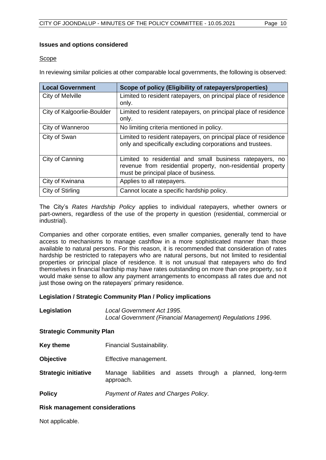#### **Issues and options considered**

#### Scope

In reviewing similar policies at other comparable local governments, the following is observed:

| <b>Local Government</b>    | Scope of policy (Eligibility of ratepayers/properties)                                                                                                          |
|----------------------------|-----------------------------------------------------------------------------------------------------------------------------------------------------------------|
| City of Melville           | Limited to resident ratepayers, on principal place of residence<br>only.                                                                                        |
| City of Kalgoorlie-Boulder | Limited to resident ratepayers, on principal place of residence<br>only.                                                                                        |
| City of Wanneroo           | No limiting criteria mentioned in policy.                                                                                                                       |
| City of Swan               | Limited to resident ratepayers, on principal place of residence<br>only and specifically excluding corporations and trustees.                                   |
| City of Canning            | Limited to residential and small business ratepayers, no<br>revenue from residential property, non-residential property<br>must be principal place of business. |
| City of Kwinana            | Applies to all ratepayers.                                                                                                                                      |
| City of Stirling           | Cannot locate a specific hardship policy.                                                                                                                       |

The City's *Rates Hardship Policy* applies to individual ratepayers, whether owners or part-owners, regardless of the use of the property in question (residential, commercial or industrial).

Companies and other corporate entities, even smaller companies, generally tend to have access to mechanisms to manage cashflow in a more sophisticated manner than those available to natural persons. For this reason, it is recommended that consideration of rates hardship be restricted to ratepayers who are natural persons, but not limited to residential properties or principal place of residence. It is not unusual that ratepayers who do find themselves in financial hardship may have rates outstanding on more than one property, so it would make sense to allow any payment arrangements to encompass all rates due and not just those owing on the ratepayers' primary residence.

#### **Legislation / Strategic Community Plan / Policy implications**

| Legislation | Local Government Act 1995.                                |  |
|-------------|-----------------------------------------------------------|--|
|             | Local Government (Financial Management) Regulations 1996. |  |

#### **Strategic Community Plan**

- **Key theme** Financial Sustainability.
- **Objective** Effective management.
- **Strategic initiative** Manage liabilities and assets through a planned, long-term approach.

**Policy** *Payment of Rates and Charges Policy*.

#### **Risk management considerations**

Not applicable.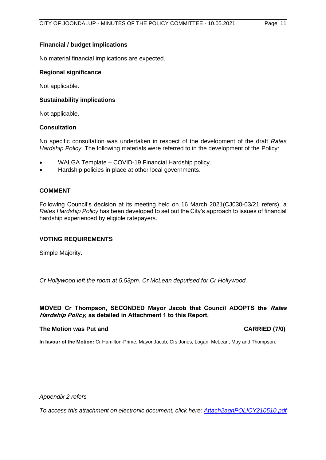#### **Financial / budget implications**

No material financial implications are expected.

#### **Regional significance**

Not applicable.

#### **Sustainability implications**

Not applicable.

#### **Consultation**

No specific consultation was undertaken in respect of the development of the draft *Rates Hardship Policy*. The following materials were referred to in the development of the Policy:

- WALGA Template COVID-19 Financial Hardship policy.
- Hardship policies in place at other local governments.

#### **COMMENT**

Following Council's decision at its meeting held on 16 March 2021(CJ030-03/21 refers), a *Rates Hardship Policy* has been developed to set out the City's approach to issues of financial hardship experienced by eligible ratepayers.

#### **VOTING REQUIREMENTS**

Simple Majority.

*Cr Hollywood left the room at 5.53pm. Cr McLean deputised for Cr Hollywood.*

#### **MOVED Cr Thompson, SECONDED Mayor Jacob that Council ADOPTS the Rates Hardship Policy, as detailed in Attachment 1 to this Report.**

#### **The Motion was Put and CARRIED (7/0)**

**In favour of the Motion:** Cr Hamilton-Prime, Mayor Jacob, Crs Jones, Logan, McLean, May and Thompson.

*Appendix 2 refers*

*[To access this attachment on electronic document, click here: Attach2agnPOLICY210510.pdf](http://www.joondalup.wa.gov.au/files/committees/POLI/2021/Attach2agnPOLICY210510.pdf)*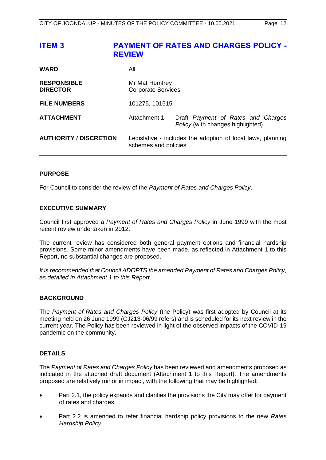## <span id="page-12-0"></span>**ITEM 3 PAYMENT OF RATES AND CHARGES POLICY - REVIEW**

| <b>WARD</b>                           | All                                                                                  |                                                                         |  |  |
|---------------------------------------|--------------------------------------------------------------------------------------|-------------------------------------------------------------------------|--|--|
| <b>RESPONSIBLE</b><br><b>DIRECTOR</b> | Mr Mat Humfrey<br><b>Corporate Services</b>                                          |                                                                         |  |  |
| <b>FILE NUMBERS</b>                   | 101275, 101515                                                                       |                                                                         |  |  |
| <b>ATTACHMENT</b>                     | Attachment 1                                                                         | Draft Payment of Rates and Charges<br>Policy (with changes highlighted) |  |  |
| <b>AUTHORITY / DISCRETION</b>         | Legislative - includes the adoption of local laws, planning<br>schemes and policies. |                                                                         |  |  |

#### **PURPOSE**

For Council to consider the review of the *Payment of Rates and Charges Policy*.

#### **EXECUTIVE SUMMARY**

Council first approved a *Payment of Rates and Charges Policy* in June 1999 with the most recent review undertaken in 2012.

The current review has considered both general payment options and financial hardship provisions. Some minor amendments have been made, as reflected in Attachment 1 to this Report, no substantial changes are proposed.

*It is recommended that Council ADOPTS the amended Payment of Rates and Charges Policy, as detailed in Attachment 1 to this Report.*

#### **BACKGROUND**

The *Payment of Rates and Charges Policy* (the Policy) was first adopted by Council at its meeting held on 26 June 1999 (CJ213-06/99 refers) and is scheduled for its next review in the current year. The Policy has been reviewed in light of the observed impacts of the COVID-19 pandemic on the community.

#### **DETAILS**

The *Payment of Rates and Charges Policy* has been reviewed and amendments proposed as indicated in the attached draft document (Attachment 1 to this Report). The amendments proposed are relatively minor in impact, with the following that may be highlighted:

- Part 2.1, the policy expands and clarifies the provisions the City may offer for payment of rates and charges.
- Part 2.2 is amended to refer financial hardship policy provisions to the new *Rates Hardship Policy*.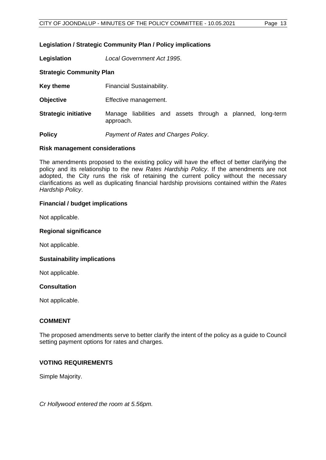#### **Legislation / Strategic Community Plan / Policy implications**

**Legislation** *Local Government Act 1995*.

#### **Strategic Community Plan**

- **Key theme** Financial Sustainability.
- **Objective** Effective management.
- **Strategic initiative** Manage liabilities and assets through a planned, long-term approach.

**Policy** *Payment of Rates and Charges Policy*.

#### **Risk management considerations**

The amendments proposed to the existing policy will have the effect of better clarifying the policy and its relationship to the new *Rates Hardship Policy*. If the amendments are not adopted, the City runs the risk of retaining the current policy without the necessary clarifications as well as duplicating financial hardship provisions contained within the *Rates Hardship Policy*.

#### **Financial / budget implications**

Not applicable.

#### **Regional significance**

Not applicable.

#### **Sustainability implications**

Not applicable.

#### **Consultation**

Not applicable.

#### **COMMENT**

The proposed amendments serve to better clarify the intent of the policy as a guide to Council setting payment options for rates and charges.

#### **VOTING REQUIREMENTS**

Simple Majority.

*Cr Hollywood entered the room at 5.56pm.*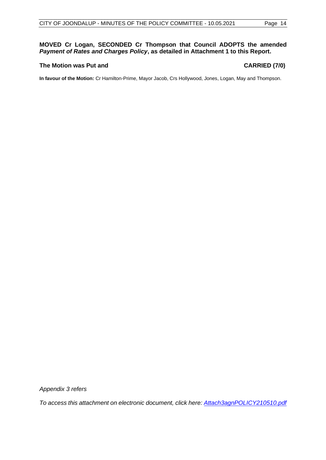#### **MOVED Cr Logan, SECONDED Cr Thompson that Council ADOPTS the amended** *Payment of Rates and Charges Policy***, as detailed in Attachment 1 to this Report.**

#### **The Motion was Put and CARRIED (7/0)**

**In favour of the Motion:** Cr Hamilton-Prime, Mayor Jacob, Crs Hollywood, Jones, Logan, May and Thompson.

*Appendix 3 refers*

*[To access this attachment on electronic document, click here: Attach3agnPOLICY210510.pdf](http://www.joondalup.wa.gov.au/files/committees/POLI/2021/Attach3agnPOLICY210510.pdf)*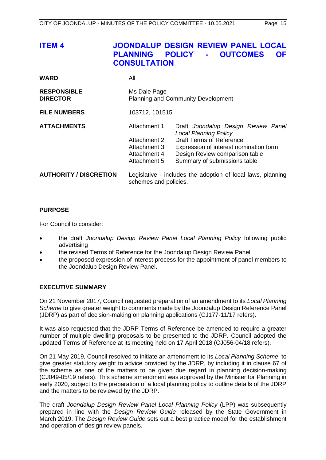<span id="page-15-0"></span>

| ITEM 4                                | <b>PLANNING</b><br><b>CONSULTATION</b>                                       | <b>JOONDALUP DESIGN REVIEW PANEL LOCAL</b><br><b>OUTCOMES</b><br><b>POLICY</b><br><b>OF</b><br>$\mathbf{m} = 0$                                                                                                    |
|---------------------------------------|------------------------------------------------------------------------------|--------------------------------------------------------------------------------------------------------------------------------------------------------------------------------------------------------------------|
| <b>WARD</b>                           | All                                                                          |                                                                                                                                                                                                                    |
| <b>RESPONSIBLE</b><br><b>DIRECTOR</b> | Ms Dale Page                                                                 | <b>Planning and Community Development</b>                                                                                                                                                                          |
| <b>FILE NUMBERS</b>                   | 103712, 101515                                                               |                                                                                                                                                                                                                    |
| <b>ATTACHMENTS</b>                    | Attachment 1<br>Attachment 2<br>Attachment 3<br>Attachment 4<br>Attachment 5 | Draft Joondalup Design Review Panel<br><b>Local Planning Policy</b><br><b>Draft Terms of Reference</b><br>Expression of interest nomination form<br>Design Review comparison table<br>Summary of submissions table |
| <b>AUTHORITY / DISCRETION</b>         | schemes and policies.                                                        | Legislative - includes the adoption of local laws, planning                                                                                                                                                        |

#### **PURPOSE**

For Council to consider:

- the draft *Joondalup Design Review Panel Local Planning Policy* following public advertising
- the revised Terms of Reference for the Joondalup Design Review Panel
- the proposed expression of interest process for the appointment of panel members to the Joondalup Design Review Panel.

#### **EXECUTIVE SUMMARY**

On 21 November 2017, Council requested preparation of an amendment to its *Local Planning Scheme* to give greater weight to comments made by the Joondalup Design Reference Panel (JDRP) as part of decision-making on planning applications (CJ177-11/17 refers).

It was also requested that the JDRP Terms of Reference be amended to require a greater number of multiple dwelling proposals to be presented to the JDRP. Council adopted the updated Terms of Reference at its meeting held on 17 April 2018 (CJ056-04/18 refers).

On 21 May 2019, Council resolved to initiate an amendment to its *Local Planning Scheme*, to give greater statutory weight to advice provided by the JDRP, by including it in clause 67 of the scheme as one of the matters to be given due regard in planning decision-making (CJ049-05/19 refers). This scheme amendment was approved by the Minister for Planning in early 2020, subject to the preparation of a local planning policy to outline details of the JDRP and the matters to be reviewed by the JDRP.

The draft *Joondalup Design Review Panel Local Planning Policy* (LPP) was subsequently prepared in line with the *Design Review Guide* released by the State Government in March 2019. The *Design Review Guide* sets out a best practice model for the establishment and operation of design review panels.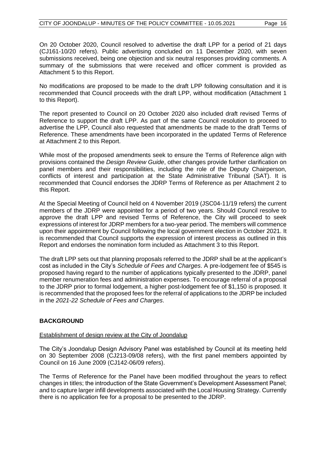On 20 October 2020, Council resolved to advertise the draft LPP for a period of 21 days (CJ161-10/20 refers). Public advertising concluded on 11 December 2020, with seven submissions received, being one objection and six neutral responses providing comments. A summary of the submissions that were received and officer comment is provided as Attachment 5 to this Report.

No modifications are proposed to be made to the draft LPP following consultation and it is recommended that Council proceeds with the draft LPP, without modification (Attachment 1 to this Report).

The report presented to Council on 20 October 2020 also included draft revised Terms of Reference to support the draft LPP. As part of the same Council resolution to proceed to advertise the LPP, Council also requested that amendments be made to the draft Terms of Reference. These amendments have been incorporated in the updated Terms of Reference at Attachment 2 to this Report.

While most of the proposed amendments seek to ensure the Terms of Reference align with provisions contained the *Design Review Guide*, other changes provide further clarification on panel members and their responsibilities, including the role of the Deputy Chairperson, conflicts of interest and participation at the State Administrative Tribunal (SAT). It is recommended that Council endorses the JDRP Terms of Reference as per Attachment 2 to this Report.

At the Special Meeting of Council held on 4 November 2019 (JSC04-11/19 refers) the current members of the JDRP were appointed for a period of two years. Should Council resolve to approve the draft LPP and revised Terms of Reference, the City will proceed to seek expressions of interest for JDRP members for a two-year period. The members will commence upon their appointment by Council following the local government election in October 2021. It is recommended that Council supports the expression of interest process as outlined in this Report and endorses the nomination form included as Attachment 3 to this Report.

The draft LPP sets out that planning proposals referred to the JDRP shall be at the applicant's cost as included in the City's *Schedule of Fees and Charges*. A pre-lodgement fee of \$545 is proposed having regard to the number of applications typically presented to the JDRP, panel member renumeration fees and administration expenses. To encourage referral of a proposal to the JDRP prior to formal lodgement, a higher post-lodgement fee of \$1,150 is proposed. It is recommended that the proposed fees for the referral of applications to the JDRP be included in the *2021-22 Schedule of Fees and Charges*.

#### **BACKGROUND**

#### Establishment of design review at the City of Joondalup

The City's Joondalup Design Advisory Panel was established by Council at its meeting held on 30 September 2008 (CJ213-09/08 refers), with the first panel members appointed by Council on 16 June 2009 (CJ142-06/09 refers).

The Terms of Reference for the Panel have been modified throughout the years to reflect changes in titles; the introduction of the State Government's Development Assessment Panel; and to capture larger infill developments associated with the Local Housing Strategy. Currently there is no application fee for a proposal to be presented to the JDRP.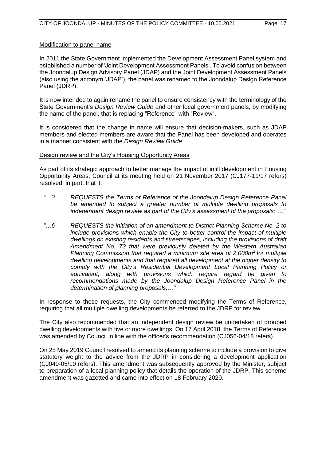#### Modification to panel name

In 2011 the State Government implemented the Development Assessment Panel system and established a number of 'Joint Development Assessment Panels'. To avoid confusion between the Joondalup Design Advisory Panel (JDAP) and the Joint Development Assessment Panels (also using the acronym 'JDAP'), the panel was renamed to the Joondalup Design Reference Panel (JDRP).

It is now intended to again rename the panel to ensure consistency with the terminology of the State Government's *Design Review Guide* and other local government panels, by modifying the name of the panel, that is replacing "Reference" with "Review".

It is considered that the change in name will ensure that decision-makers, such as JDAP members and elected members are aware that the Panel has been developed and operates in a manner consistent with the *Design Review Guide*.

#### Design review and the City's Housing Opportunity Areas

As part of its strategic approach to better manage the impact of infill development in Housing Opportunity Areas, Council at its meeting held on 21 November 2017 (CJ177-11/17 refers) resolved, in part, that it:

- *"…3 REQUESTS the Terms of Reference of the Joondalup Design Reference Panel be amended to subject a greater number of multiple dwelling proposals to independent design review as part of the City's assessment of the proposals; …"*
- *"…6 REQUESTS the initiation of an amendment to District Planning Scheme No. 2 to include provisions which enable the City to better control the impact of multiple dwellings on existing residents and streetscapes, including the provisions of draft Amendment No. 73 that were previously deleted by the Western Australian Planning Commission that required a minimum site area of 2,000m<sup>2</sup> for multiple dwelling developments and that required all development at the higher density to comply with the City's Residential Development Local Planning Policy or equivalent, along with provisions which require regard be given to recommendations made by the Joondalup Design Reference Panel in the determination of planning proposals;…"*

In response to these requests, the City commenced modifying the Terms of Reference, requiring that all multiple dwelling developments be referred to the JDRP for review.

The City also recommended that an independent design review be undertaken of grouped dwelling developments with five or more dwellings. On 17 April 2018, the Terms of Reference was amended by Council in line with the officer's recommendation (CJ056-04/18 refers).

On 25 May 2019 Council resolved to amend its planning scheme to include a provision to give statutory weight to the advice from the JDRP in considering a development application (CJ049-05/19 refers). This amendment was subsequently approved by the Minister, subject to preparation of a local planning policy that details the operation of the JDRP. This scheme amendment was gazetted and came into effect on 18 February 2020.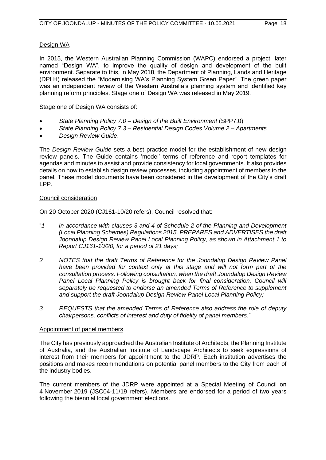#### Design WA

In 2015, the Western Australian Planning Commission (WAPC) endorsed a project, later named "Design WA", to improve the quality of design and development of the built environment. Separate to this, in May 2018, the Department of Planning, Lands and Heritage (DPLH) released the "Modernising WA's Planning System Green Paper". The green paper was an independent review of the Western Australia's planning system and identified key planning reform principles. Stage one of Design WA was released in May 2019.

Stage one of Design WA consists of:

- *State Planning Policy 7.0 – Design of the Built Environment* (SPP7.0)
- *State Planning Policy 7.3 – Residential Design Codes Volume 2 – Apartments*
- *Design Review Guide*.

The *Design Review Guide* sets a best practice model for the establishment of new design review panels. The Guide contains 'model' terms of reference and report templates for agendas and minutes to assist and provide consistency for local governments. It also provides details on how to establish design review processes, including appointment of members to the panel. These model documents have been considered in the development of the City's draft LPP.

#### Council consideration

On 20 October 2020 (CJ161-10/20 refers), Council resolved that:

- "*1 In accordance with clauses 3 and 4 of Schedule 2 of the Planning and Development (Local Planning Schemes) Regulations 2015, PREPARES and ADVERTISES the draft Joondalup Design Review Panel Local Planning Policy, as shown in Attachment 1 to Report CJ161-10/20, for a period of 21 days;*
- *2 NOTES that the draft Terms of Reference for the Joondalup Design Review Panel*  have been provided for context only at this stage and will not form part of the *consultation process. Following consultation, when the draft Joondalup Design Review*  Panel Local Planning Policy is brought back for final consideration, Council will *separately be requested to endorse an amended Terms of Reference to supplement and support the draft Joondalup Design Review Panel Local Planning Policy;*
- *3 REQUESTS that the amended Terms of Reference also address the role of deputy chairpersons, conflicts of interest and duty of fidelity of panel members.*"

#### Appointment of panel members

The City has previously approached the Australian Institute of Architects, the Planning Institute of Australia, and the Australian Institute of Landscape Architects to seek expressions of interest from their members for appointment to the JDRP. Each institution advertises the positions and makes recommendations on potential panel members to the City from each of the industry bodies.

The current members of the JDRP were appointed at a Special Meeting of Council on 4 November 2019 (JSC04-11/19 refers). Members are endorsed for a period of two years following the biennial local government elections.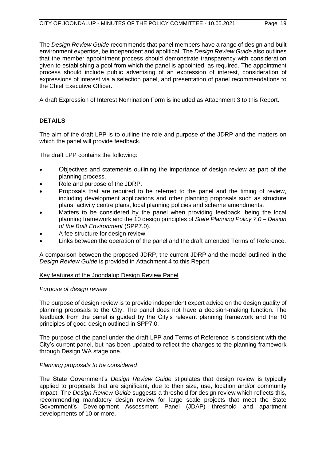The *Design Review Guide* recommends that panel members have a range of design and built environment expertise, be independent and apolitical. The *Design Review Guide* also outlines that the member appointment process should demonstrate transparency with consideration given to establishing a pool from which the panel is appointed, as required. The appointment process should include public advertising of an expression of interest, consideration of expressions of interest via a selection panel, and presentation of panel recommendations to the Chief Executive Officer.

A draft Expression of Interest Nomination Form is included as Attachment 3 to this Report.

## **DETAILS**

The aim of the draft LPP is to outline the role and purpose of the JDRP and the matters on which the panel will provide feedback.

The draft LPP contains the following:

- Objectives and statements outlining the importance of design review as part of the planning process.
- Role and purpose of the JDRP.
- Proposals that are required to be referred to the panel and the timing of review, including development applications and other planning proposals such as structure plans, activity centre plans, local planning policies and scheme amendments.
- Matters to be considered by the panel when providing feedback, being the local planning framework and the 10 design principles of *State Planning Policy 7.0 – Design of the Built Environment* (SPP7.0).
- A fee structure for design review.
- Links between the operation of the panel and the draft amended Terms of Reference.

A comparison between the proposed JDRP, the current JDRP and the model outlined in the *Design Review Guide* is provided in Attachment 4 to this Report.

#### Key features of the Joondalup Design Review Panel

#### *Purpose of design review*

The purpose of design review is to provide independent expert advice on the design quality of planning proposals to the City. The panel does not have a decision-making function. The feedback from the panel is guided by the City's relevant planning framework and the 10 principles of good design outlined in SPP7.0.

The purpose of the panel under the draft LPP and Terms of Reference is consistent with the City's current panel, but has been updated to reflect the changes to the planning framework through Design WA stage one.

#### *Planning proposals to be considered*

The State Government's *Design Review Guide* stipulates that design review is typically applied to proposals that are significant, due to their size, use, location and/or community impact. The *Design Review Guide* suggests a threshold for design review which reflects this, recommending mandatory design review for large scale projects that meet the State Government's Development Assessment Panel (JDAP) threshold and apartment developments of 10 or more.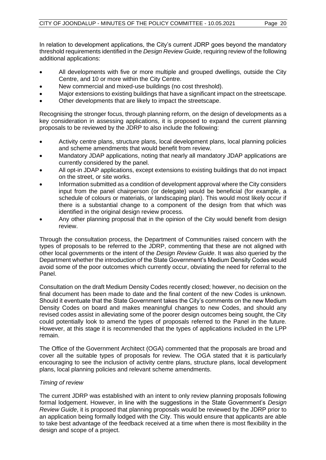In relation to development applications, the City's current JDRP goes beyond the mandatory threshold requirements identified in the *Design Review Guide*, requiring review of the following additional applications:

- All developments with five or more multiple and grouped dwellings, outside the City Centre, and 10 or more within the City Centre.
- New commercial and mixed-use buildings (no cost threshold).
- Major extensions to existing buildings that have a significant impact on the streetscape.
- Other developments that are likely to impact the streetscape.

Recognising the stronger focus, through planning reform, on the design of developments as a key consideration in assessing applications, it is proposed to expand the current planning proposals to be reviewed by the JDRP to also include the following:

- Activity centre plans, structure plans, local development plans, local planning policies and scheme amendments that would benefit from review.
- Mandatory JDAP applications, noting that nearly all mandatory JDAP applications are currently considered by the panel.
- All opt-in JDAP applications, except extensions to existing buildings that do not impact on the street, or site works.
- Information submitted as a condition of development approval where the City considers input from the panel chairperson (or delegate) would be beneficial (for example, a schedule of colours or materials, or landscaping plan). This would most likely occur if there is a substantial change to a component of the design from that which was identified in the original design review process.
- Any other planning proposal that in the opinion of the City would benefit from design review.

Through the consultation process, the Department of Communities raised concern with the types of proposals to be referred to the JDRP, commenting that these are not aligned with other local governments or the intent of the *Design Review Guide*. It was also queried by the Department whether the introduction of the State Government's Medium Density Codes would avoid some of the poor outcomes which currently occur, obviating the need for referral to the Panel.

Consultation on the draft Medium Density Codes recently closed; however, no decision on the final document has been made to date and the final content of the new Codes is unknown. Should it eventuate that the State Government takes the City's comments on the new Medium Density Codes on board and makes meaningful changes to new Codes, and should any revised codes assist in alleviating some of the poorer design outcomes being sought, the City could potentially look to amend the types of proposals referred to the Panel in the future. However, at this stage it is recommended that the types of applications included in the LPP remain.

The Office of the Government Architect (OGA) commented that the proposals are broad and cover all the suitable types of proposals for review. The OGA stated that it is particularly encouraging to see the inclusion of activity centre plans, structure plans, local development plans, local planning policies and relevant scheme amendments.

#### *Timing of review*

The current JDRP was established with an intent to only review planning proposals following formal lodgement. However, in line with the suggestions in the State Government's *Design Review Guide*, it is proposed that planning proposals would be reviewed by the JDRP prior to an application being formally lodged with the City. This would ensure that applicants are able to take best advantage of the feedback received at a time when there is most flexibility in the design and scope of a project.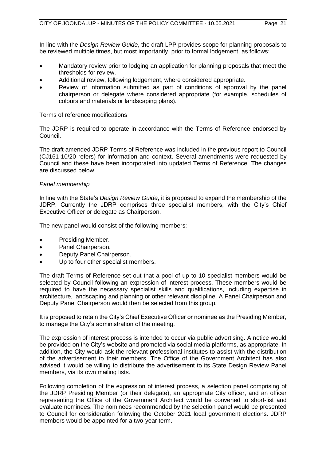In line with the *Design Review Guide*, the draft LPP provides scope for planning proposals to be reviewed multiple times, but most importantly, prior to formal lodgement, as follows:

- Mandatory review prior to lodging an application for planning proposals that meet the thresholds for review.
- Additional review, following lodgement, where considered appropriate.
- Review of information submitted as part of conditions of approval by the panel chairperson or delegate where considered appropriate (for example, schedules of colours and materials or landscaping plans).

#### Terms of reference modifications

The JDRP is required to operate in accordance with the Terms of Reference endorsed by Council.

The draft amended JDRP Terms of Reference was included in the previous report to Council (CJ161-10/20 refers) for information and context. Several amendments were requested by Council and these have been incorporated into updated Terms of Reference. The changes are discussed below.

#### *Panel membership*

In line with the State's *Design Review Guide*, it is proposed to expand the membership of the JDRP. Currently the JDRP comprises three specialist members, with the City's Chief Executive Officer or delegate as Chairperson.

The new panel would consist of the following members:

- Presiding Member.
- Panel Chairperson.
- Deputy Panel Chairperson.
- Up to four other specialist members.

The draft Terms of Reference set out that a pool of up to 10 specialist members would be selected by Council following an expression of interest process. These members would be required to have the necessary specialist skills and qualifications, including expertise in architecture, landscaping and planning or other relevant discipline. A Panel Chairperson and Deputy Panel Chairperson would then be selected from this group.

It is proposed to retain the City's Chief Executive Officer or nominee as the Presiding Member, to manage the City's administration of the meeting.

The expression of interest process is intended to occur via public advertising. A notice would be provided on the City's website and promoted via social media platforms, as appropriate. In addition, the City would ask the relevant professional institutes to assist with the distribution of the advertisement to their members. The Office of the Government Architect has also advised it would be willing to distribute the advertisement to its State Design Review Panel members, via its own mailing lists.

Following completion of the expression of interest process, a selection panel comprising of the JDRP Presiding Member (or their delegate), an appropriate City officer, and an officer representing the Office of the Government Architect would be convened to short-list and evaluate nominees. The nominees recommended by the selection panel would be presented to Council for consideration following the October 2021 local government elections. JDRP members would be appointed for a two-year term.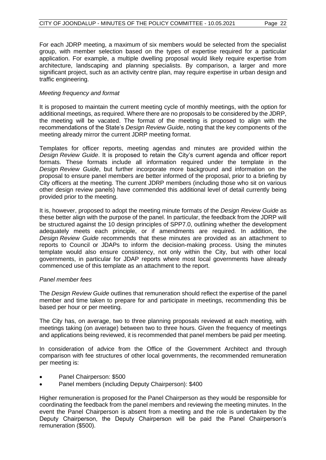For each JDRP meeting, a maximum of six members would be selected from the specialist group, with member selection based on the types of expertise required for a particular application. For example, a multiple dwelling proposal would likely require expertise from architecture, landscaping and planning specialists. By comparison, a larger and more significant project, such as an activity centre plan, may require expertise in urban design and traffic engineering.

#### *Meeting frequency and format*

It is proposed to maintain the current meeting cycle of monthly meetings, with the option for additional meetings, as required. Where there are no proposals to be considered by the JDRP, the meeting will be vacated. The format of the meeting is proposed to align with the recommendations of the State's *Design Review Guide*, noting that the key components of the meeting already mirror the current JDRP meeting format.

Templates for officer reports, meeting agendas and minutes are provided within the *Design Review Guide*. It is proposed to retain the City's current agenda and officer report formats. These formats include all information required under the template in the *Design Review Guide*, but further incorporate more background and information on the proposal to ensure panel members are better informed of the proposal, prior to a briefing by City officers at the meeting. The current JDRP members (including those who sit on various other design review panels) have commended this additional level of detail currently being provided prior to the meeting.

It is, however, proposed to adopt the meeting minute formats of the *Design Review Guide* as these better align with the purpose of the panel. In particular, the feedback from the JDRP will be structured against the 10 design principles of SPP7.0, outlining whether the development adequately meets each principle, or if amendments are required. In addition, the *Design Review Guide* recommends that these minutes are provided as an attachment to reports to Council or JDAPs to inform the decision-making process. Using the minutes template would also ensure consistency, not only within the City, but with other local governments, in particular for JDAP reports where most local governments have already commenced use of this template as an attachment to the report.

#### *Panel member fees*

The *Design Review Guide* outlines that remuneration should reflect the expertise of the panel member and time taken to prepare for and participate in meetings, recommending this be based per hour or per meeting.

The City has, on average, two to three planning proposals reviewed at each meeting, with meetings taking (on average) between two to three hours. Given the frequency of meetings and applications being reviewed, it is recommended that panel members be paid per meeting.

In consideration of advice from the Office of the Government Architect and through comparison with fee structures of other local governments, the recommended remuneration per meeting is:

- Panel Chairperson: \$500
- Panel members (including Deputy Chairperson): \$400

Higher remuneration is proposed for the Panel Chairperson as they would be responsible for coordinating the feedback from the panel members and reviewing the meeting minutes. In the event the Panel Chairperson is absent from a meeting and the role is undertaken by the Deputy Chairperson, the Deputy Chairperson will be paid the Panel Chairperson's remuneration (\$500).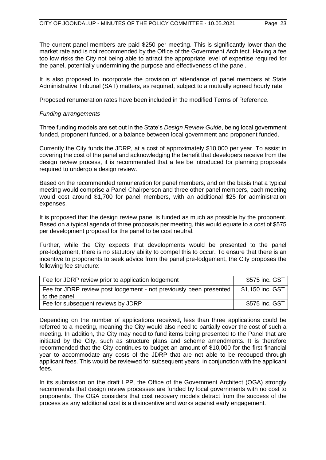The current panel members are paid \$250 per meeting. This is significantly lower than the market rate and is not recommended by the Office of the Government Architect. Having a fee too low risks the City not being able to attract the appropriate level of expertise required for the panel, potentially undermining the purpose and effectiveness of the panel.

It is also proposed to incorporate the provision of attendance of panel members at State Administrative Tribunal (SAT) matters, as required, subject to a mutually agreed hourly rate.

Proposed renumeration rates have been included in the modified Terms of Reference.

#### *Funding arrangements*

Three funding models are set out in the State's *Design Review Guide*, being local government funded, proponent funded, or a balance between local government and proponent funded.

Currently the City funds the JDRP, at a cost of approximately \$10,000 per year. To assist in covering the cost of the panel and acknowledging the benefit that developers receive from the design review process, it is recommended that a fee be introduced for planning proposals required to undergo a design review.

Based on the recommended remuneration for panel members, and on the basis that a typical meeting would comprise a Panel Chairperson and three other panel members, each meeting would cost around \$1,700 for panel members, with an additional \$25 for administration expenses.

It is proposed that the design review panel is funded as much as possible by the proponent. Based on a typical agenda of three proposals per meeting, this would equate to a cost of \$575 per development proposal for the panel to be cost neutral.

Further, while the City expects that developments would be presented to the panel pre-lodgement, there is no statutory ability to compel this to occur. To ensure that there is an incentive to proponents to seek advice from the panel pre-lodgement, the City proposes the following fee structure:

| Fee for JDRP review prior to application lodgement                                 | \$575 inc. GST   |
|------------------------------------------------------------------------------------|------------------|
| Fee for JDRP review post lodgement - not previously been presented<br>to the panel | \$1,150 inc. GST |
| Fee for subsequent reviews by JDRP                                                 | \$575 inc. GST   |

Depending on the number of applications received, less than three applications could be referred to a meeting, meaning the City would also need to partially cover the cost of such a meeting. In addition, the City may need to fund items being presented to the Panel that are initiated by the City, such as structure plans and scheme amendments. It is therefore recommended that the City continues to budget an amount of \$10,000 for the first financial year to accommodate any costs of the JDRP that are not able to be recouped through applicant fees. This would be reviewed for subsequent years, in conjunction with the applicant fees.

In its submission on the draft LPP, the Office of the Government Architect (OGA) strongly recommends that design review processes are funded by local governments with no cost to proponents. The OGA considers that cost recovery models detract from the success of the process as any additional cost is a disincentive and works against early engagement.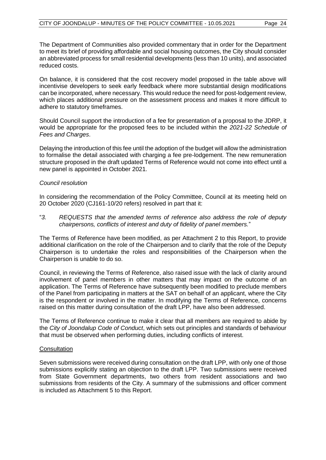The Department of Communities also provided commentary that in order for the Department to meet its brief of providing affordable and social housing outcomes, the City should consider an abbreviated process for small residential developments (less than 10 units), and associated reduced costs.

On balance, it is considered that the cost recovery model proposed in the table above will incentivise developers to seek early feedback where more substantial design modifications can be incorporated, where necessary. This would reduce the need for post-lodgement review, which places additional pressure on the assessment process and makes it more difficult to adhere to statutory timeframes.

Should Council support the introduction of a fee for presentation of a proposal to the JDRP, it would be appropriate for the proposed fees to be included within the *2021-22 Schedule of Fees and Charges*.

Delaying the introduction of this fee until the adoption of the budget will allow the administration to formalise the detail associated with charging a fee pre-lodgement. The new remuneration structure proposed in the draft updated Terms of Reference would not come into effect until a new panel is appointed in October 2021.

#### *Council resolution*

In considering the recommendation of the Policy Committee, Council at its meeting held on 20 October 2020 (CJ161-10/20 refers) resolved in part that it:

"*3. REQUESTS that the amended terms of reference also address the role of deputy chairpersons, conflicts of interest and duty of fidelity of panel members.*"

The Terms of Reference have been modified, as per Attachment 2 to this Report, to provide additional clarification on the role of the Chairperson and to clarify that the role of the Deputy Chairperson is to undertake the roles and responsibilities of the Chairperson when the Chairperson is unable to do so.

Council, in reviewing the Terms of Reference, also raised issue with the lack of clarity around involvement of panel members in other matters that may impact on the outcome of an application. The Terms of Reference have subsequently been modified to preclude members of the Panel from participating in matters at the SAT on behalf of an applicant, where the City is the respondent or involved in the matter. In modifying the Terms of Reference, concerns raised on this matter during consultation of the draft LPP, have also been addressed.

The Terms of Reference continue to make it clear that all members are required to abide by the *City of Joondalup Code of Conduct*, which sets out principles and standards of behaviour that must be observed when performing duties, including conflicts of interest.

#### **Consultation**

Seven submissions were received during consultation on the draft LPP, with only one of those submissions explicitly stating an objection to the draft LPP. Two submissions were received from State Government departments, two others from resident associations and two submissions from residents of the City. A summary of the submissions and officer comment is included as Attachment 5 to this Report.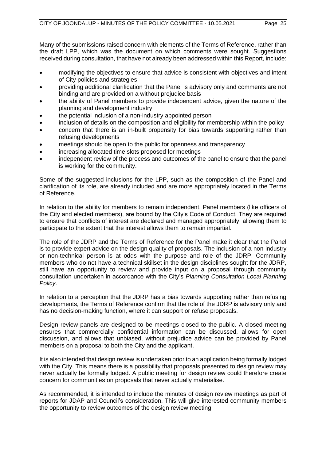Many of the submissions raised concern with elements of the Terms of Reference, rather than the draft LPP, which was the document on which comments were sought. Suggestions received during consultation, that have not already been addressed within this Report, include:

- modifying the objectives to ensure that advice is consistent with objectives and intent of City policies and strategies
- providing additional clarification that the Panel is advisory only and comments are not binding and are provided on a without prejudice basis
- the ability of Panel members to provide independent advice, given the nature of the planning and development industry
- the potential inclusion of a non-industry appointed person
- inclusion of details on the composition and eligibility for membership within the policy
- concern that there is an in-built propensity for bias towards supporting rather than refusing developments
- meetings should be open to the public for openness and transparency
- increasing allocated time slots proposed for meetings
- independent review of the process and outcomes of the panel to ensure that the panel is working for the community.

Some of the suggested inclusions for the LPP, such as the composition of the Panel and clarification of its role, are already included and are more appropriately located in the Terms of Reference.

In relation to the ability for members to remain independent, Panel members (like officers of the City and elected members), are bound by the City's Code of Conduct. They are required to ensure that conflicts of interest are declared and managed appropriately, allowing them to participate to the extent that the interest allows them to remain impartial.

The role of the JDRP and the Terms of Reference for the Panel make it clear that the Panel is to provide expert advice on the design quality of proposals. The inclusion of a non-industry or non-technical person is at odds with the purpose and role of the JDRP. Community members who do not have a technical skillset in the design disciplines sought for the JDRP, still have an opportunity to review and provide input on a proposal through community consultation undertaken in accordance with the City's *Planning Consultation Local Planning Policy*.

In relation to a perception that the JDRP has a bias towards supporting rather than refusing developments, the Terms of Reference confirm that the role of the JDRP is advisory only and has no decision-making function, where it can support or refuse proposals.

Design review panels are designed to be meetings closed to the public. A closed meeting ensures that commercially confidential information can be discussed, allows for open discussion, and allows that unbiased, without prejudice advice can be provided by Panel members on a proposal to both the City and the applicant.

It is also intended that design review is undertaken prior to an application being formally lodged with the City. This means there is a possibility that proposals presented to design review may never actually be formally lodged. A public meeting for design review could therefore create concern for communities on proposals that never actually materialise.

As recommended, it is intended to include the minutes of design review meetings as part of reports for JDAP and Council's consideration. This will give interested community members the opportunity to review outcomes of the design review meeting.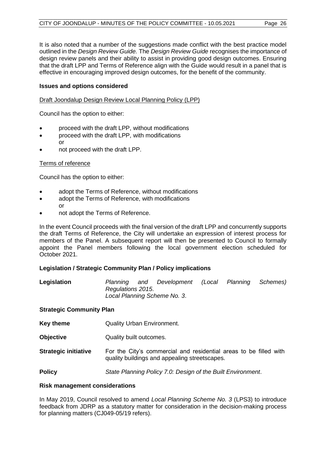It is also noted that a number of the suggestions made conflict with the best practice model outlined in the *Design Review Guide.* The *Design Review Guide* recognises the importance of design review panels and their ability to assist in providing good design outcomes. Ensuring that the draft LPP and Terms of Reference align with the Guide would result in a panel that is effective in encouraging improved design outcomes, for the benefit of the community.

#### **Issues and options considered**

Draft Joondalup Design Review Local Planning Policy (LPP)

Council has the option to either:

- proceed with the draft LPP, without modifications
- proceed with the draft LPP, with modifications or
- not proceed with the draft LPP.

#### Terms of reference

Council has the option to either:

- adopt the Terms of Reference, without modifications
- adopt the Terms of Reference, with modifications or
- not adopt the Terms of Reference.

In the event Council proceeds with the final version of the draft LPP and concurrently supports the draft Terms of Reference, the City will undertake an expression of interest process for members of the Panel. A subsequent report will then be presented to Council to formally appoint the Panel members following the local government election scheduled for October 2021.

#### **Legislation / Strategic Community Plan / Policy implications**

| Legislation | Planning          | and | Development                  | (Local | Planning Schemes) |
|-------------|-------------------|-----|------------------------------|--------|-------------------|
|             | Regulations 2015. |     |                              |        |                   |
|             |                   |     | Local Planning Scheme No. 3. |        |                   |

#### **Strategic Community Plan**

- **Key theme Quality Urban Environment.**
- **Objective** Quality built outcomes.
- **Strategic initiative** For the City's commercial and residential areas to be filled with quality buildings and appealing streetscapes.

**Policy** *State Planning Policy 7.0: Design of the Built Environment*.

#### **Risk management considerations**

In May 2019, Council resolved to amend *Local Planning Scheme No. 3* (LPS3) to introduce feedback from JDRP as a statutory matter for consideration in the decision-making process for planning matters (CJ049-05/19 refers).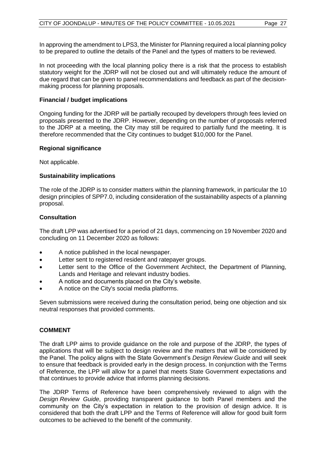In approving the amendment to LPS3, the Minister for Planning required a local planning policy to be prepared to outline the details of the Panel and the types of matters to be reviewed.

In not proceeding with the local planning policy there is a risk that the process to establish statutory weight for the JDRP will not be closed out and will ultimately reduce the amount of due regard that can be given to panel recommendations and feedback as part of the decisionmaking process for planning proposals.

#### **Financial / budget implications**

Ongoing funding for the JDRP will be partially recouped by developers through fees levied on proposals presented to the JDRP. However, depending on the number of proposals referred to the JDRP at a meeting, the City may still be required to partially fund the meeting. It is therefore recommended that the City continues to budget \$10,000 for the Panel.

#### **Regional significance**

Not applicable.

#### **Sustainability implications**

The role of the JDRP is to consider matters within the planning framework, in particular the 10 design principles of SPP7.0, including consideration of the sustainability aspects of a planning proposal.

#### **Consultation**

The draft LPP was advertised for a period of 21 days, commencing on 19 November 2020 and concluding on 11 December 2020 as follows:

- A notice published in the local newspaper.
- Letter sent to registered resident and ratepayer groups.
- Letter sent to the Office of the Government Architect, the Department of Planning, Lands and Heritage and relevant industry bodies.
- A notice and documents placed on the City's website.
- A notice on the City's social media platforms.

Seven submissions were received during the consultation period, being one objection and six neutral responses that provided comments.

#### **COMMENT**

The draft LPP aims to provide guidance on the role and purpose of the JDRP, the types of applications that will be subject to design review and the matters that will be considered by the Panel. The policy aligns with the State Government's *Design Review Guide* and will seek to ensure that feedback is provided early in the design process. In conjunction with the Terms of Reference, the LPP will allow for a panel that meets State Government expectations and that continues to provide advice that informs planning decisions.

The JDRP Terms of Reference have been comprehensively reviewed to align with the *Design Review Guide*, providing transparent guidance to both Panel members and the community on the City's expectation in relation to the provision of design advice. It is considered that both the draft LPP and the Terms of Reference will allow for good built form outcomes to be achieved to the benefit of the community.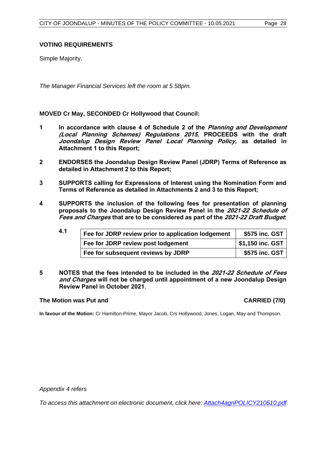#### **VOTING REQUIREMENTS**

Simple Majority.

*The Manager Financial Services left the room at 5.58pm.*

#### **MOVED Cr May, SECONDED Cr Hollywood that Council:**

- **1 In accordance with clause 4 of Schedule 2 of the Planning and Development (Local Planning Schemes) Regulations 2015, PROCEEDS with the draft Joondalup Design Review Panel Local Planning Policy, as detailed in Attachment 1 to this Report;**
- **2 ENDORSES the Joondalup Design Review Panel (JDRP) Terms of Reference as detailed in Attachment 2 to this Report;**
- **3 SUPPORTS calling for Expressions of Interest using the Nomination Form and Terms of Reference as detailed in Attachments 2 and 3 to this Report;**
- **4 SUPPORTS the inclusion of the following fees for presentation of planning proposals to the Joondalup Design Review Panel in the 2021-22 Schedule of Fees and Charges that are to be considered as part of the 2021-22 Draft Budget:**

| 4.1 | Fee for JDRP review prior to application lodgement | \$575 inc. GST   |
|-----|----------------------------------------------------|------------------|
|     | Fee for JDRP review post lodgement                 | \$1,150 inc. GST |
|     | Fee for subsequent reviews by JDRP                 | \$575 inc. GST   |

**5 NOTES that the fees intended to be included in the 2021-22 Schedule of Fees and Charges will not be charged until appointment of a new Joondalup Design Review Panel in October 2021.**

#### **The Motion was Put and CARRIED (7/0)**

**In favour of the Motion:** Cr Hamilton-Prime, Mayor Jacob, Crs Hollywood, Jones, Logan, May and Thompson.

*Appendix 4 refers*

*[To access this attachment on electronic document, click here: Attach4agnPOLICY210510.pdf](http://www.joondalup.wa.gov.au/files/committees/POLI/2021/Attach4agnPOLICY210510.pdf)*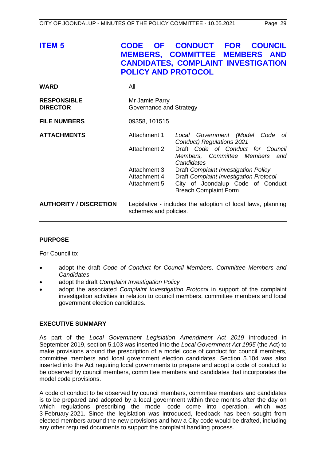<span id="page-29-0"></span>

| <b>ITEM 5</b>                         | <b>OF</b><br><b>CODE</b><br><b>POLICY AND PROTOCOL</b>                               | <b>CONDUCT</b><br><b>FOR</b><br><b>COUNCIL</b><br><b>MEMBERS, COMMITTEE MEMBERS AND</b><br><b>CANDIDATES, COMPLAINT INVESTIGATION</b>                                    |
|---------------------------------------|--------------------------------------------------------------------------------------|--------------------------------------------------------------------------------------------------------------------------------------------------------------------------|
| <b>WARD</b>                           | All                                                                                  |                                                                                                                                                                          |
| <b>RESPONSIBLE</b><br><b>DIRECTOR</b> | Mr Jamie Parry<br>Governance and Strategy                                            |                                                                                                                                                                          |
| <b>FILE NUMBERS</b>                   | 09358, 101515                                                                        |                                                                                                                                                                          |
| <b>ATTACHMENTS</b>                    | Attachment 1<br><b>Attachment 2</b>                                                  | Local Government (Model Code<br>- of<br>Conduct) Regulations 2021<br>Draft Code of Conduct for Council<br>Members, Committee Members and                                 |
|                                       | Attachment 3<br>Attachment 4<br>Attachment 5                                         | Candidates<br>Draft Complaint Investigation Policy<br><b>Draft Complaint Investigation Protocol</b><br>City of Joondalup Code of Conduct<br><b>Breach Complaint Form</b> |
| <b>AUTHORITY / DISCRETION</b>         | Legislative - includes the adoption of local laws, planning<br>schemes and policies. |                                                                                                                                                                          |

#### **PURPOSE**

For Council to:

- adopt the draft *Code of Conduct for Council Members, Committee Members and Candidates*
- adopt the draft *Complaint Investigation Policy*
- adopt the associated *Complaint Investigation Protocol* in support of the complaint investigation activities in relation to council members, committee members and local government election candidates.

#### **EXECUTIVE SUMMARY**

As part of the *Local Government Legislation Amendment Act 2019* introduced in September 2019, section 5.103 was inserted into the *Local Government Act 1995* (the Act) to make provisions around the prescription of a model code of conduct for council members, committee members and local government election candidates. Section 5.104 was also inserted into the Act requiring local governments to prepare and adopt a code of conduct to be observed by council members, committee members and candidates that incorporates the model code provisions.

A code of conduct to be observed by council members, committee members and candidates is to be prepared and adopted by a local government within three months after the day on which regulations prescribing the model code come into operation, which was 3 February 2021. Since the legislation was introduced, feedback has been sought from elected members around the new provisions and how a City code would be drafted, including any other required documents to support the complaint handling process.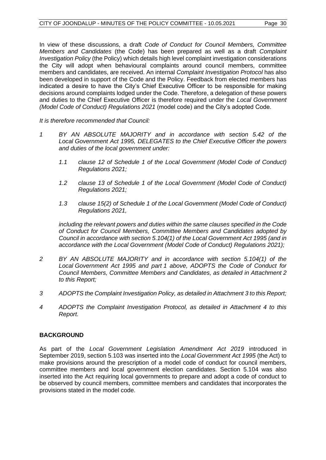In view of these discussions, a draft *Code of Conduct for Council Members, Committee Members and Candidates* (the Code) has been prepared as well as a draft *Complaint Investigation Policy* (the Policy) which details high level complaint investigation considerations the City will adopt when behavioural complaints around council members, committee members and candidates, are received. An internal *Complaint Investigation Protocol* has also been developed in support of the Code and the Policy. Feedback from elected members has indicated a desire to have the City's Chief Executive Officer to be responsible for making decisions around complaints lodged under the Code. Therefore, a delegation of these powers and duties to the Chief Executive Officer is therefore required under the *Local Government (Model Code of Conduct) Regulations 2021* (model code) and the City's adopted Code.

*It is therefore recommended that Council:*

- *1 BY AN ABSOLUTE MAJORITY and in accordance with section 5.42 of the Local Government Act 1995, DELEGATES to the Chief Executive Officer the powers and duties of the local government under:*
	- *1.1 clause 12 of Schedule 1 of the Local Government (Model Code of Conduct) Regulations 2021;*
	- *1.2 clause 13 of Schedule 1 of the Local Government (Model Code of Conduct) Regulations 2021;*
	- *1.3 clause 15(2) of Schedule 1 of the Local Government (Model Code of Conduct) Regulations 2021,*

*including the relevant powers and duties within the same clauses specified in the Code of Conduct for Council Members, Committee Members and Candidates adopted by Council in accordance with section 5.104(1) of the Local Government Act 1995 (and in accordance with the Local Government (Model Code of Conduct) Regulations 2021);* 

- *2 BY AN ABSOLUTE MAJORITY and in accordance with section 5.104(1) of the Local Government Act 1995 and part 1 above, ADOPTS the Code of Conduct for Council Members, Committee Members and Candidates, as detailed in Attachment 2 to this Report;*
- *3 ADOPTS the Complaint Investigation Policy, as detailed in Attachment 3 to this Report;*
- *4 ADOPTS the Complaint Investigation Protocol, as detailed in Attachment 4 to this Report.*

#### **BACKGROUND**

As part of the *Local Government Legislation Amendment Act 2019* introduced in September 2019, section 5.103 was inserted into the *Local Government Act 1995* (the Act) to make provisions around the prescription of a model code of conduct for council members, committee members and local government election candidates. Section 5.104 was also inserted into the Act requiring local governments to prepare and adopt a code of conduct to be observed by council members, committee members and candidates that incorporates the provisions stated in the model code.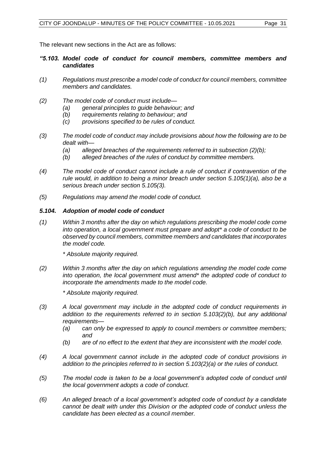The relevant new sections in the Act are as follows:

#### *"5.103. Model code of conduct for council members, committee members and candidates*

- *(1) Regulations must prescribe a model code of conduct for council members, committee members and candidates.*
- *(2) The model code of conduct must include—*
	- *(a) general principles to guide behaviour; and*
	- *(b) requirements relating to behaviour; and*
	- *(c) provisions specified to be rules of conduct.*
- *(3) The model code of conduct may include provisions about how the following are to be dealt with—*
	- *(a) alleged breaches of the requirements referred to in subsection (2)(b);*
	- *(b) alleged breaches of the rules of conduct by committee members.*
- *(4) The model code of conduct cannot include a rule of conduct if contravention of the rule would, in addition to being a minor breach under section 5.105(1)(a), also be a serious breach under section 5.105(3).*
- *(5) Regulations may amend the model code of conduct.*

#### *5.104. Adoption of model code of conduct*

*(1) Within 3 months after the day on which regulations prescribing the model code come into operation, a local government must prepare and adopt\* a code of conduct to be observed by council members, committee members and candidates that incorporates the model code.*

*\* Absolute majority required.*

*(2) Within 3 months after the day on which regulations amending the model code come into operation, the local government must amend\* the adopted code of conduct to incorporate the amendments made to the model code.*

*\* Absolute majority required.*

- *(3) A local government may include in the adopted code of conduct requirements in addition to the requirements referred to in section 5.103(2)(b), but any additional requirements—*
	- *(a) can only be expressed to apply to council members or committee members; and*
	- *(b) are of no effect to the extent that they are inconsistent with the model code.*
- *(4) A local government cannot include in the adopted code of conduct provisions in addition to the principles referred to in section 5.103(2)(a) or the rules of conduct.*
- *(5) The model code is taken to be a local government's adopted code of conduct until the local government adopts a code of conduct.*
- *(6) An alleged breach of a local government's adopted code of conduct by a candidate cannot be dealt with under this Division or the adopted code of conduct unless the candidate has been elected as a council member.*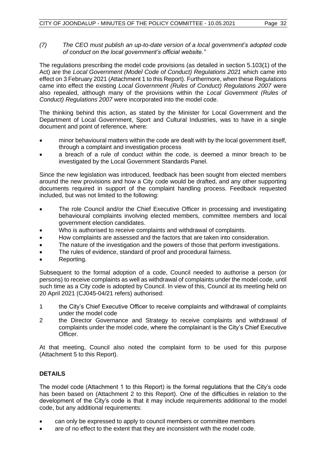The regulations prescribing the model code provisions (as detailed in section 5.103(1) of the Act) are the *Local Government (Model Code of Conduct) Regulations 2021* which came into effect on 3 February 2021 (Attachment 1 to this Report). Furthermore, when these Regulations came into effect the existing *Local Government (Rules of Conduct) Regulations 2007* were also repealed, although many of the provisions within the *Local Government (Rules of Conduct) Regulations 2007* were incorporated into the model code.

The thinking behind this action, as stated by the Minister for Local Government and the Department of Local Government, Sport and Cultural Industries, was to have in a single document and point of reference, where:

- minor behavioural matters within the code are dealt with by the local government itself, through a complaint and investigation process
- a breach of a rule of conduct within the code, is deemed a minor breach to be investigated by the Local Government Standards Panel.

Since the new legislation was introduced, feedback has been sought from elected members around the new provisions and how a City code would be drafted, and any other supporting documents required in support of the complaint handling process. Feedback requested included, but was not limited to the following:

- The role Council and/or the Chief Executive Officer in processing and investigating behavioural complaints involving elected members, committee members and local government election candidates.
- Who is authorised to receive complaints and withdrawal of complaints.
- How complaints are assessed and the factors that are taken into consideration.
- The nature of the investigation and the powers of those that perform investigations.
- The rules of evidence, standard of proof and procedural fairness.
- Reporting.

Subsequent to the formal adoption of a code, Council needed to authorise a person (or persons) to receive complaints as well as withdrawal of complaints under the model code, until such time as a City code is adopted by Council. In view of this, Council at its meeting held on 20 April 2021 (CJ045-04/21 refers) authorised:

- 1 the City's Chief Executive Officer to receive complaints and withdrawal of complaints under the model code
- 2 the Director Governance and Strategy to receive complaints and withdrawal of complaints under the model code, where the complainant is the City's Chief Executive Officer.

At that meeting, Council also noted the complaint form to be used for this purpose (Attachment 5 to this Report).

### **DETAILS**

The model code (Attachment 1 to this Report) is the formal regulations that the City's code has been based on (Attachment 2 to this Report). One of the difficulties in relation to the development of the City's code is that it may include requirements additional to the model code, but any additional requirements:

- can only be expressed to apply to council members or committee members
- are of no effect to the extent that they are inconsistent with the model code.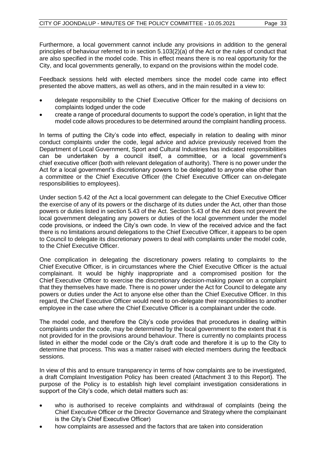Furthermore, a local government cannot include any provisions in addition to the general principles of behaviour referred to in section 5.103(2)(a) of the Act or the rules of conduct that are also specified in the model code. This in effect means there is no real opportunity for the City, and local governments generally, to expand on the provisions within the model code.

Feedback sessions held with elected members since the model code came into effect presented the above matters, as well as others, and in the main resulted in a view to:

- delegate responsibility to the Chief Executive Officer for the making of decisions on complaints lodged under the code
- create a range of procedural documents to support the code's operation, in light that the model code allows procedures to be determined around the complaint handling process.

In terms of putting the City's code into effect, especially in relation to dealing with minor conduct complaints under the code, legal advice and advice previously received from the Department of Local Government, Sport and Cultural Industries has indicated responsibilities can be undertaken by a council itself, a committee, or a local government's chief executive officer (both with relevant delegation of authority). There is no power under the Act for a local government's discretionary powers to be delegated to anyone else other than a committee or the Chief Executive Officer (the Chief Executive Officer can on-delegate responsibilities to employees).

Under section 5.42 of the Act a local government can delegate to the Chief Executive Officer the exercise of any of its powers or the discharge of its duties under the Act, other than those powers or duties listed in section 5.43 of the Act. Section 5.43 of the Act does not prevent the local government delegating any powers or duties of the local government under the model code provisions, or indeed the City's own code. In view of the received advice and the fact there is no limitations around delegations to the Chief Executive Officer, it appears to be open to Council to delegate its discretionary powers to deal with complaints under the model code, to the Chief Executive Officer.

One complication in delegating the discretionary powers relating to complaints to the Chief Executive Officer, is in circumstances where the Chief Executive Officer is the actual complainant. It would be highly inappropriate and a compromised position for the Chief Executive Officer to exercise the discretionary decision-making power on a complaint that they themselves have made. There is no power under the Act for Council to delegate any powers or duties under the Act to anyone else other than the Chief Executive Officer. In this regard, the Chief Executive Officer would need to on-delegate their responsibilities to another employee in the case where the Chief Executive Officer is a complainant under the code.

The model code, and therefore the City's code provides that procedures in dealing within complaints under the code, may be determined by the local government to the extent that it is not provided for in the provisions around behaviour. There is currently no complaints process listed in either the model code or the City's draft code and therefore it is up to the City to determine that process. This was a matter raised with elected members during the feedback sessions.

In view of this and to ensure transparency in terms of how complaints are to be investigated, a draft Complaint Investigation Policy has been created (Attachment 3 to this Report). The purpose of the Policy is to establish high level complaint investigation considerations in support of the City's code, which detail matters such as:

- who is authorised to receive complaints and withdrawal of complaints (being the Chief Executive Officer or the Director Governance and Strategy where the complainant is the City's Chief Executive Officer)
- how complaints are assessed and the factors that are taken into consideration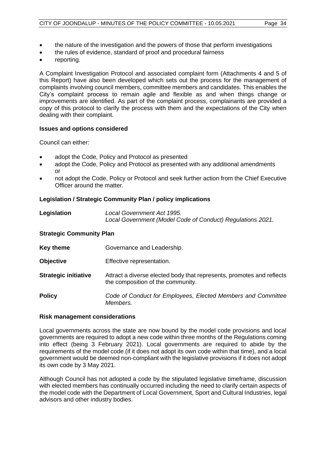- the nature of the investigation and the powers of those that perform investigations
- the rules of evidence, standard of proof and procedural fairness
- reporting.

A Complaint Investigation Protocol and associated complaint form (Attachments 4 and 5 of this Report) have also been developed which sets out the process for the management of complaints involving council members, committee members and candidates. This enables the City's complaint process to remain agile and flexible as and when things change or improvements are identified. As part of the complaint process, complainants are provided a copy of this protocol to clarify the process with them and the expectations of the City when dealing with their complaint.

#### **Issues and options considered**

Council can either:

- adopt the Code, Policy and Protocol as presented
- adopt the Code, Policy and Protocol as presented with any additional amendments or
- not adopt the Code, Policy or Protocol and seek further action from the Chief Executive Officer around the matter.

#### **Legislation / Strategic Community Plan / policy implications**

| Legislation | Local Government Act 1995.                                 |
|-------------|------------------------------------------------------------|
|             | Local Government (Model Code of Conduct) Regulations 2021. |

#### **Strategic Community Plan**

| Key theme                   | Governance and Leadership.                                                                                 |
|-----------------------------|------------------------------------------------------------------------------------------------------------|
| <b>Objective</b>            | Effective representation.                                                                                  |
| <b>Strategic initiative</b> | Attract a diverse elected body that represents, promotes and reflects<br>the composition of the community. |
| <b>Policy</b>               | Code of Conduct for Employees, Elected Members and Committee<br>Members.                                   |

#### **Risk management considerations**

Local governments across the state are now bound by the model code provisions and local governments are required to adopt a new code within three months of the Regulations coming into effect (being 3 February 2021). Local governments are required to abide by the requirements of the model code (if it does not adopt its own code within that time), and a local government would be deemed non-compliant with the legislative provisions if it does not adopt its own code by 3 May 2021.

Although Council has not adopted a code by the stipulated legislative timeframe, discussion with elected members has continually occurred including the need to clarify certain aspects of the model code with the Department of Local Government, Sport and Cultural Industries, legal advisors and other industry bodies.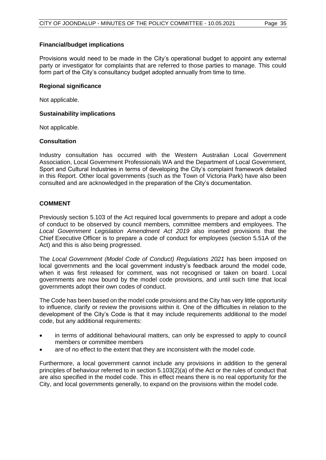#### **Financial/budget implications**

Provisions would need to be made in the City's operational budget to appoint any external party or investigator for complaints that are referred to those parties to manage. This could form part of the City's consultancy budget adopted annually from time to time.

#### **Regional significance**

Not applicable.

#### **Sustainability implications**

Not applicable.

#### **Consultation**

Industry consultation has occurred with the Western Australian Local Government Association, Local Government Professionals WA and the Department of Local Government, Sport and Cultural Industries in terms of developing the City's complaint framework detailed in this Report. Other local governments (such as the Town of Victoria Park) have also been consulted and are acknowledged in the preparation of the City's documentation.

#### **COMMENT**

Previously section 5.103 of the Act required local governments to prepare and adopt a code of conduct to be observed by council members, committee members and employees. The *Local Government Legislation Amendment Act 2019* also inserted provisions that the Chief Executive Officer is to prepare a code of conduct for employees (section 5.51A of the Act) and this is also being progressed.

The *Local Government (Model Code of Conduct) Regulations 2021* has been imposed on local governments and the local government industry's feedback around the model code, when it was first released for comment, was not recognised or taken on board. Local governments are now bound by the model code provisions, and until such time that local governments adopt their own codes of conduct.

The Code has been based on the model code provisions and the City has very little opportunity to influence, clarify or review the provisions within it. One of the difficulties in relation to the development of the City's Code is that it may include requirements additional to the model code, but any additional requirements:

- in terms of additional behavioural matters, can only be expressed to apply to council members or committee members
- are of no effect to the extent that they are inconsistent with the model code.

Furthermore, a local government cannot include any provisions in addition to the general principles of behaviour referred to in section 5.103(2)(a) of the Act or the rules of conduct that are also specified in the model code. This in effect means there is no real opportunity for the City, and local governments generally, to expand on the provisions within the model code.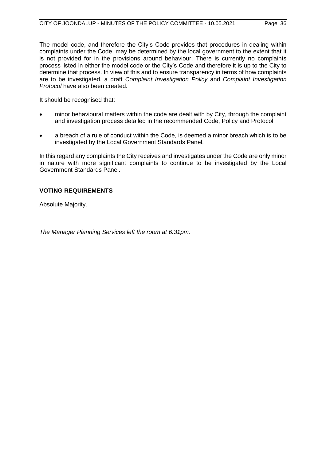The model code, and therefore the City's Code provides that procedures in dealing within complaints under the Code, may be determined by the local government to the extent that it is not provided for in the provisions around behaviour. There is currently no complaints process listed in either the model code or the City's Code and therefore it is up to the City to determine that process. In view of this and to ensure transparency in terms of how complaints are to be investigated, a draft *Complaint Investigation Policy* and *Complaint Investigation Protocol* have also been created.

It should be recognised that:

- minor behavioural matters within the code are dealt with by City, through the complaint and investigation process detailed in the recommended Code, Policy and Protocol
- a breach of a rule of conduct within the Code, is deemed a minor breach which is to be investigated by the Local Government Standards Panel.

In this regard any complaints the City receives and investigates under the Code are only minor in nature with more significant complaints to continue to be investigated by the Local Government Standards Panel.

#### **VOTING REQUIREMENTS**

Absolute Majority.

*The Manager Planning Services left the room at 6.31pm.*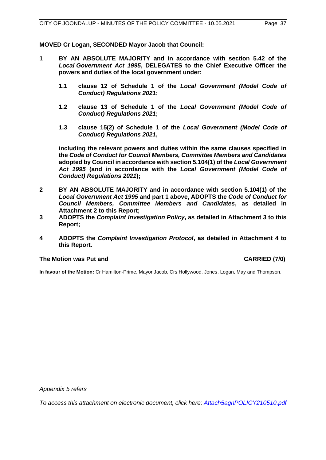**MOVED Cr Logan, SECONDED Mayor Jacob that Council:**

- **1 BY AN ABSOLUTE MAJORITY and in accordance with section 5.42 of the**  *Local Government Act 1995***, DELEGATES to the Chief Executive Officer the powers and duties of the local government under:**
	- **1.1 clause 12 of Schedule 1 of the** *Local Government (Model Code of Conduct) Regulations 2021***;**
	- **1.2 clause 13 of Schedule 1 of the** *Local Government (Model Code of Conduct) Regulations 2021***;**
	- **1.3 clause 15(2) of Schedule 1 of the** *Local Government (Model Code of Conduct) Regulations 2021***,**

**including the relevant powers and duties within the same clauses specified in the** *Code of Conduct for Council Members, Committee Members and Candidates* **adopted by Council in accordance with section 5.104(1) of the** *Local Government Act 1995* **(and in accordance with the** *Local Government (Model Code of Conduct) Regulations 2021***);** 

- **2 BY AN ABSOLUTE MAJORITY and in accordance with section 5.104(1) of the**  *Local Government Act 1995* **and part 1 above, ADOPTS the** *Code of Conduct for Council Members, Committee Members and Candidates***, as detailed in Attachment 2 to this Report;**
- **3 ADOPTS the** *Complaint Investigation Policy***, as detailed in Attachment 3 to this Report;**
- **4 ADOPTS the** *Complaint Investigation Protocol***, as detailed in Attachment 4 to this Report.**

#### **The Motion was Put and CARRIED (7/0)**

**In favour of the Motion:** Cr Hamilton-Prime, Mayor Jacob, Crs Hollywood, Jones, Logan, May and Thompson.

*Appendix 5 refers*

*[To access this attachment on electronic document, click here: Attach5agnPOLICY210510.pdf](http://www.joondalup.wa.gov.au/files/committees/POLI/2021/Attach5agnPOLICY210510.pdf)*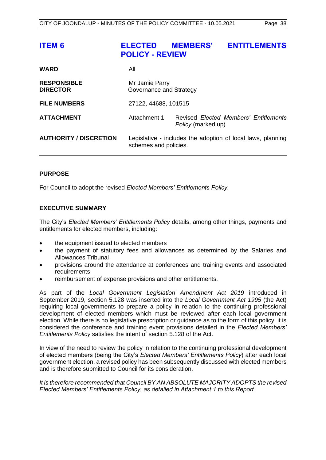<span id="page-38-0"></span>

| <b>ITEM 6</b>                         | <b>ELECTED MEMBERS'</b><br><b>POLICY - REVIEW</b> |                    | <b>ENTITLEMENTS</b>                                         |
|---------------------------------------|---------------------------------------------------|--------------------|-------------------------------------------------------------|
| <b>WARD</b>                           | All                                               |                    |                                                             |
| <b>RESPONSIBLE</b><br><b>DIRECTOR</b> | Mr Jamie Parry<br>Governance and Strategy         |                    |                                                             |
| <b>FILE NUMBERS</b>                   | 27122, 44688, 101515                              |                    |                                                             |
| <b>ATTACHMENT</b>                     | Attachment 1                                      | Policy (marked up) | Revised Elected Members' Entitlements                       |
| <b>AUTHORITY / DISCRETION</b>         | schemes and policies.                             |                    | Legislative - includes the adoption of local laws, planning |

#### **PURPOSE**

For Council to adopt the revised *Elected Members' Entitlements Policy.* 

#### **EXECUTIVE SUMMARY**

The City's *Elected Members' Entitlements Policy* details, among other things, payments and entitlements for elected members, including:

- the equipment issued to elected members
- the payment of statutory fees and allowances as determined by the Salaries and Allowances Tribunal
- provisions around the attendance at conferences and training events and associated requirements
- reimbursement of expense provisions and other entitlements.

As part of the *Local Government Legislation Amendment Act 2019* introduced in September 2019, section 5.128 was inserted into the *Local Government Act 1995* (the Act) requiring local governments to prepare a policy in relation to the continuing professional development of elected members which must be reviewed after each local government election. While there is no legislative prescription or guidance as to the form of this policy, it is considered the conference and training event provisions detailed in the *Elected Members' Entitlements Policy* satisfies the intent of section 5.128 of the Act.

In view of the need to review the policy in relation to the continuing professional development of elected members (being the City's *Elected Members' Entitlements Policy*) after each local government election, a revised policy has been subsequently discussed with elected members and is therefore submitted to Council for its consideration.

*It is therefore recommended that Council BY AN ABSOLUTE MAJORITY ADOPTS the revised Elected Members' Entitlements Policy, as detailed in Attachment 1 to this Report.*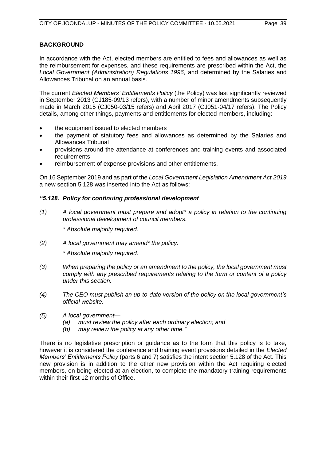#### **BACKGROUND**

In accordance with the Act, elected members are entitled to fees and allowances as well as the reimbursement for expenses, and these requirements are prescribed within the Act, the *Local Government (Administration) Regulations 1996,* and determined by the Salaries and Allowances Tribunal on an annual basis.

The current *Elected Members' Entitlements Policy* (the Policy) was last significantly reviewed in September 2013 (CJ185-09/13 refers), with a number of minor amendments subsequently made in March 2015 (CJ050-03/15 refers) and April 2017 (CJ051-04/17 refers). The Policy details, among other things, payments and entitlements for elected members, including:

- the equipment issued to elected members
- the payment of statutory fees and allowances as determined by the Salaries and Allowances Tribunal
- provisions around the attendance at conferences and training events and associated requirements
- reimbursement of expense provisions and other entitlements.

On 16 September 2019 and as part of the *Local Government Legislation Amendment Act 2019*  a new section 5.128 was inserted into the Act as follows:

#### *"5.128. Policy for continuing professional development*

*(1) A local government must prepare and adopt\* a policy in relation to the continuing professional development of council members.*

*\* Absolute majority required.*

*(2) A local government may amend\* the policy.*

*\* Absolute majority required.*

- *(3) When preparing the policy or an amendment to the policy, the local government must comply with any prescribed requirements relating to the form or content of a policy under this section.*
- *(4) The CEO must publish an up-to-date version of the policy on the local government's official website.*
- *(5) A local government—*
	- *(a) must review the policy after each ordinary election; and*
	- *(b) may review the policy at any other time."*

There is no legislative prescription or guidance as to the form that this policy is to take, however it is considered the conference and training event provisions detailed in the *Elected Members' Entitlements Policy* (parts 6 and 7) satisfies the intent section 5.128 of the Act. This new provision is in addition to the other new provision within the Act requiring elected members, on being elected at an election, to complete the mandatory training requirements within their first 12 months of Office.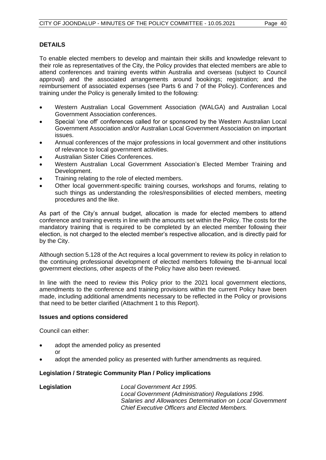#### **DETAILS**

To enable elected members to develop and maintain their skills and knowledge relevant to their role as representatives of the City, the Policy provides that elected members are able to attend conferences and training events within Australia and overseas (subject to Council approval) and the associated arrangements around bookings; registration; and the reimbursement of associated expenses (see Parts 6 and 7 of the Policy). Conferences and training under the Policy is generally limited to the following:

- Western Australian Local Government Association (WALGA) and Australian Local Government Association conferences.
- Special 'one off' conferences called for or sponsored by the Western Australian Local Government Association and/or Australian Local Government Association on important issues.
- Annual conferences of the major professions in local government and other institutions of relevance to local government activities.
- Australian Sister Cities Conferences.
- Western Australian Local Government Association's Elected Member Training and Development.
- Training relating to the role of elected members.
- Other local government-specific training courses, workshops and forums, relating to such things as understanding the roles/responsibilities of elected members, meeting procedures and the like.

As part of the City's annual budget, allocation is made for elected members to attend conference and training events in line with the amounts set within the Policy. The costs for the mandatory training that is required to be completed by an elected member following their election, is not charged to the elected member's respective allocation, and is directly paid for by the City.

Although section 5.128 of the Act requires a local government to review its policy in relation to the continuing professional development of elected members following the bi-annual local government elections, other aspects of the Policy have also been reviewed.

In line with the need to review this Policy prior to the 2021 local government elections, amendments to the conference and training provisions within the current Policy have been made, including additional amendments necessary to be reflected in the Policy or provisions that need to be better clarified (Attachment 1 to this Report).

#### **Issues and options considered**

Council can either:

- adopt the amended policy as presented or
- adopt the amended policy as presented with further amendments as required.

#### **Legislation / Strategic Community Plan / Policy implications**

**Legislation** *Local Government Act 1995. Local Government (Administration) Regulations 1996. Salaries and Allowances Determination on Local Government Chief Executive Officers and Elected Members.*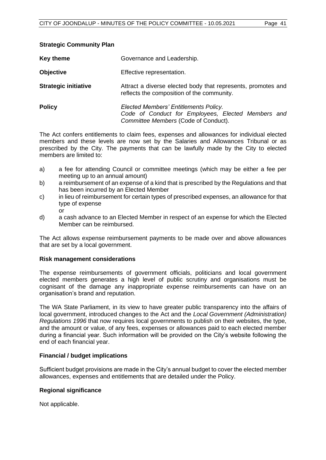#### **Strategic Community Plan**

| <b>Key theme</b>            | Governance and Leadership.                                                                                                          |  |  |
|-----------------------------|-------------------------------------------------------------------------------------------------------------------------------------|--|--|
| <b>Objective</b>            | Effective representation.                                                                                                           |  |  |
| <b>Strategic initiative</b> | Attract a diverse elected body that represents, promotes and<br>reflects the composition of the community.                          |  |  |
| <b>Policy</b>               | Elected Members' Entitlements Policy.<br>Code of Conduct for Employees, Elected Members and<br>Committee Members (Code of Conduct). |  |  |

The Act confers entitlements to claim fees, expenses and allowances for individual elected members and these levels are now set by the Salaries and Allowances Tribunal or as prescribed by the City. The payments that can be lawfully made by the City to elected members are limited to:

- a) a fee for attending Council or committee meetings (which may be either a fee per meeting up to an annual amount)
- b) a reimbursement of an expense of a kind that is prescribed by the Regulations and that has been incurred by an Elected Member
- c) in lieu of reimbursement for certain types of prescribed expenses, an allowance for that type of expense or
- d) a cash advance to an Elected Member in respect of an expense for which the Elected Member can be reimbursed.

The Act allows expense reimbursement payments to be made over and above allowances that are set by a local government.

#### **Risk management considerations**

The expense reimbursements of government officials, politicians and local government elected members generates a high level of public scrutiny and organisations must be cognisant of the damage any inappropriate expense reimbursements can have on an organisation's brand and reputation.

The WA State Parliament, in its view to have greater public transparency into the affairs of local government, introduced changes to the Act and the *Local Government (Administration) Regulations 1996* that now requires local governments to publish on their websites, the type, and the amount or value, of any fees, expenses or allowances paid to each elected member during a financial year. Such information will be provided on the City's website following the end of each financial year.

#### **Financial / budget implications**

Sufficient budget provisions are made in the City's annual budget to cover the elected member allowances, expenses and entitlements that are detailed under the Policy.

#### **Regional significance**

Not applicable.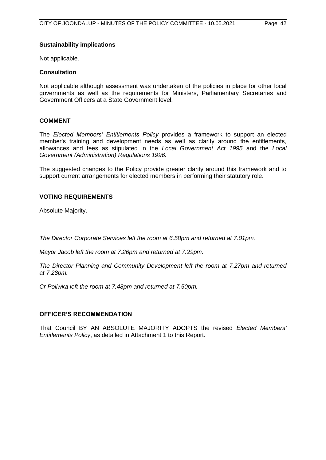#### **Sustainability implications**

Not applicable.

#### **Consultation**

Not applicable although assessment was undertaken of the policies in place for other local governments as well as the requirements for Ministers, Parliamentary Secretaries and Government Officers at a State Government level.

#### **COMMENT**

The *Elected Members' Entitlements Policy* provides a framework to support an elected member's training and development needs as well as clarity around the entitlements, allowances and fees as stipulated in the *Local Government Act 1995* and the *Local Government (Administration) Regulations 1996.* 

The suggested changes to the Policy provide greater clarity around this framework and to support current arrangements for elected members in performing their statutory role.

#### **VOTING REQUIREMENTS**

Absolute Majority.

*The Director Corporate Services left the room at 6.58pm and returned at 7.01pm.*

*Mayor Jacob left the room at 7.26pm and returned at 7.29pm.*

*The Director Planning and Community Development left the room at 7.27pm and returned at 7.28pm.*

*Cr Poliwka left the room at 7.48pm and returned at 7.50pm.*

#### **OFFICER'S RECOMMENDATION**

That Council BY AN ABSOLUTE MAJORITY ADOPTS the revised *Elected Members' Entitlements Policy*, as detailed in Attachment 1 to this Report.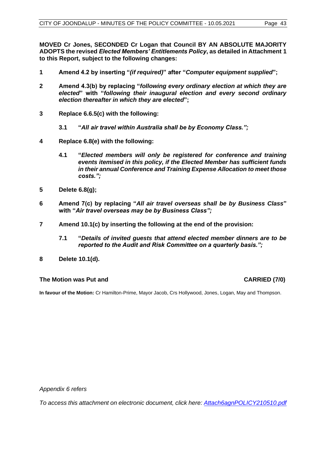**MOVED Cr Jones, SECONDED Cr Logan that Council BY AN ABSOLUTE MAJORITY ADOPTS the revised** *Elected Members' Entitlements Policy***, as detailed in Attachment 1 to this Report, subject to the following changes:**

- **1 Amend 4.2 by inserting "***(if required)***" after "***Computer equipment supplied***";**
- **2 Amend 4.3(b) by replacing "***following every ordinary election at which they are elected***" with "***following their inaugural election and every second ordinary election thereafter in which they are elected***";**
- **3 Replace 6.6.5(c) with the following:**
	- **3.1 "***All air travel within Australia shall be by Economy Class.";*
- **4 Replace 6.8(e) with the following:**
	- **4.1 "***Elected members will only be registered for conference and training events itemised in this policy, if the Elected Member has sufficient funds in their annual Conference and Training Expense Allocation to meet those costs.";*
- **5 Delete 6.8(g);**
- **6 Amend 7(c) by replacing "***All air travel overseas shall be by Business Class***" with "***Air travel overseas may be by Business Class";*
- **7 Amend 10.1(c) by inserting the following at the end of the provision:**
	- **7.1 "***Details of invited guests that attend elected member dinners are to be reported to the Audit and Risk Committee on a quarterly basis.";*
- **8 Delete 10.1(d).**

#### **The Motion was Put and CARRIED (7/0)**

**In favour of the Motion:** Cr Hamilton-Prime, Mayor Jacob, Crs Hollywood, Jones, Logan, May and Thompson.

*Appendix 6 refers*

*[To access this attachment on electronic document, click here: Attach6agnPOLICY210510.pdf](http://www.joondalup.wa.gov.au/files/committees/POLI/2021/Attach6agnPOLICY210510.pdf)*